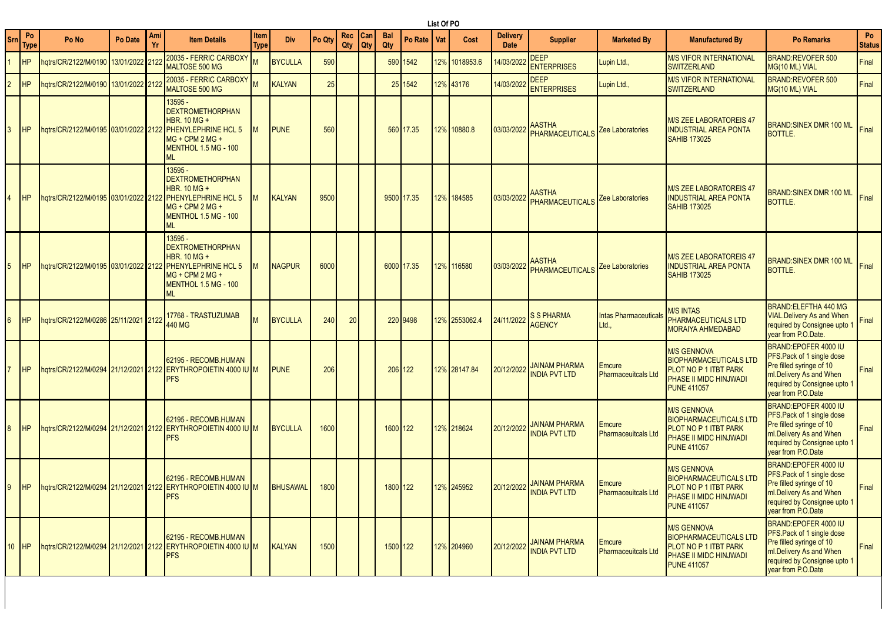|        |            |                                      |         |           |                                                                                                                                                   |                     |                |        |            |            |                   |            | List Of PO |               |                                |                                                  |                                             |                                                                                                                              |                                                                                                                                                                |                     |
|--------|------------|--------------------------------------|---------|-----------|---------------------------------------------------------------------------------------------------------------------------------------------------|---------------------|----------------|--------|------------|------------|-------------------|------------|------------|---------------|--------------------------------|--------------------------------------------------|---------------------------------------------|------------------------------------------------------------------------------------------------------------------------------|----------------------------------------------------------------------------------------------------------------------------------------------------------------|---------------------|
| Srn    | Po<br>Type | Po No                                | Po Date | Ami<br>Yr | <b>Item Details</b>                                                                                                                               | <b>Item</b><br>Type | <b>Div</b>     | Po Qty | Rec<br>Qty | Can<br>Qty | <b>Bal</b><br>Qty | Po Rate    | Vat        | Cost          | <b>Delivery</b><br><b>Date</b> | <b>Supplier</b>                                  | <b>Marketed By</b>                          | <b>Manufactured By</b>                                                                                                       | <b>Po Remarks</b>                                                                                                                                              | Po<br><b>Status</b> |
|        | <b>HP</b>  | hqtrs/CR/2122/M/0190 13/01/2022 212: |         |           | 20035 - FERRIC CARBOXY<br>MALTOSE 500 MG                                                                                                          |                     | <b>BYCULLA</b> | 590    |            |            |                   | 590 1542   |            | 12% 1018953.6 | 14/03/2022                     | <b>DEEP</b><br><b>ENTERPRISES</b>                | upin Ltd.,                                  | <b>M/S VIFOR INTERNATIONAL</b><br><b>SWITZERLAND</b>                                                                         | <b>BRAND:REVOFER 500</b><br>MG(10 ML) VIAL                                                                                                                     | Final               |
|        | <b>HP</b>  | hqtrs/CR/2122/M/0190 13/01/2022 212: |         |           | 20035 - FERRIC CARBOXY<br><b>MALTOSE 500 MG</b>                                                                                                   |                     | KALYAN         | 25     |            |            |                   | 25 1542    |            | 12% 43176     | 14/03/2022                     | <b>DEEP</b><br><b>ENTERPRISES</b>                | Lupin Ltd.,                                 | <b>M/S VIFOR INTERNATIONAL</b><br><b>SWITZERLAND</b>                                                                         | BRAND:REVOFER 500<br>MG(10 ML) VIAL                                                                                                                            | Final               |
|        | <b>HP</b>  | hqtrs/CR/2122/M/0195 03/01/2022 2122 |         |           | 13595 -<br><b>DEXTROMETHORPHAN</b><br>HBR. 10 MG +<br><b>PHENYLEPHRINE HCL 5</b><br>MG + CPM 2 MG +<br><b>MENTHOL 1.5 MG - 100</b><br><b>ML</b>   |                     | <b>PUNE</b>    | 560    |            |            |                   | 560 17.35  |            | 12% 10880.8   | 03/03/2022                     | <b>AASTHA</b><br>PHARMACEUTICALS                 | Zee Laboratories                            | M/S ZEE LABORATOREIS 47<br><b>INDUSTRIAL AREA PONTA</b><br><b>SAHIB 173025</b>                                               | <b>BRAND:SINEX DMR 100 ML</b><br><b>BOTTLE.</b>                                                                                                                | Final               |
|        |            |                                      |         |           | 13595 -<br><b>DEXTROMETHORPHAN</b><br>HBR. 10 MG +<br><b>PHENYLEPHRINE HCL 5</b><br>MG + CPM 2 MG +<br>MENTHOL 1.5 MG - 100<br><b>ML</b>          |                     | <b>KALYAN</b>  | 9500   |            |            |                   | 9500 17.35 |            | 12% 184585    | 03/03/2022                     | <b>AASTHA</b><br>PHARMACEUTICALS                 | <b>Zee Laboratories</b>                     | M/S ZEE LABORATOREIS 47<br><b>INDUSTRIAL AREA PONTA</b><br><b>SAHIB 173025</b>                                               | <b>BRAND:SINEX DMR 100 ML</b><br><b>BOTTLE.</b>                                                                                                                | Final               |
|        | <b>HP</b>  |                                      |         |           | 13595 -<br><b>DEXTROMETHORPHAN</b><br><b>HBR. 10 MG +</b><br><b>PHENYLEPHRINE HCL 5</b><br>$MG + CPM 2 MG +$<br><b>MENTHOL 1.5 MG - 100</b><br>ML |                     | <b>NAGPUR</b>  | 6000   |            |            |                   | 6000 17.35 |            | 12% 116580    | 03/03/2022                     | <b>AASTHA</b><br><b>PHARMACEUTICALS</b>          | <b>Zee Laboratories</b>                     | M/S ZEE LABORATOREIS 47<br><b>INDUSTRIAL AREA PONTA</b><br><b>SAHIB 173025</b>                                               | <b>BRAND:SINEX DMR 100 ML</b><br><b>BOTTLE.</b>                                                                                                                | Final               |
|        | <b>HP</b>  | hqtrs/CR/2122/M/0286 25/11/2021 2122 |         |           | 17768 - TRASTUZUMAB<br>440 MG                                                                                                                     |                     | <b>BYCULLA</b> | 240    | 20         |            |                   | 220 9498   |            | 12% 2553062.4 | 24/11/2022                     | <b>S S PHARMA</b><br><b>AGENCY</b>               | <b>Intas Pharmaceuticals</b><br>Ltd.,       | <b>M/S INTAS</b><br>PHARMACEUTICALS LTD<br>MORAIYA AHMEDABAD                                                                 | BRAND: ELEFTHA 440 MG<br><b>VIAL.Delivery As and When</b><br>required by Consignee upto 1<br>vear from P.O.Date.                                               | Final               |
|        | <b>HP</b>  |                                      |         |           | 62195 - RECOMB.HUMAN<br>hqtrs/CR/2122/M/0294 21/12/2021 2122 ERYTHROPOIETIN 4000 IU M<br><b>PFS</b>                                               |                     | <b>PUNE</b>    | 206    |            |            |                   | 206 122    |            | 12% 28147.84  | 20/12/2022                     | <b>JAINAM PHARMA</b><br><b>INDIA PVT LTD</b>     | Emcure<br><b>Pharmaceuitcals Ltd</b>        | <b>M/S GENNOVA</b><br><b>BIOPHARMACEUTICALS LTD</b><br>PLOT NO P 1 ITBT PARK<br>PHASE II MIDC HINJWADI<br><b>PUNE 411057</b> | BRAND:EPOFER 4000 IU<br>PFS.Pack of 1 single dose<br>Pre filled syringe of 10<br>ml.Delivery As and When<br>required by Consignee upto 1<br>vear from P.O.Date | Final               |
|        | <b>HP</b>  |                                      |         |           | 62195 - RECOMB.HUMAN<br>hqtrs/CR/2122/M/0294 21/12/2021 2122 ERYTHROPOIETIN 4000 IU M<br>PFS                                                      |                     | <b>BYCULLA</b> | 1600   |            |            | 1600 122          |            |            | 12% 218624    | 20/12/2022                     | <b>JAINAM PHARMA</b><br><b>INDIA PVT LTD</b>     | Emcure<br><b>Pharmaceuitcals Ltd</b>        | <b>M/S GENNOVA</b><br><b>BIOPHARMACEUTICALS LTD</b><br>PLOT NO P 1 ITBT PARK<br>PHASE II MIDC HINJWADI<br><b>PUNE 411057</b> | BRAND:EPOFER 4000 IU<br>PFS.Pack of 1 single dose<br>Pre filled syringe of 10<br>ml.Delivery As and When<br>required by Consignee upto 1<br>year from P.O.Date | Final               |
|        |            |                                      |         |           | 62195 - RECOMB.HUMAN<br>9 HP hqtrs/CR/2122/M/0294 21/12/2021 2122 ERYTHROPOIETIN 4000 IU M BHUSAWAL 1800<br><b>PFS</b>                            |                     |                |        |            |            | 1800 122          |            |            | 12% 245952    |                                | 20/12/2022 JAINAM PHARMA<br><b>INDIA PVT LTD</b> | <b>Emcure</b><br><b>Pharmaceuitcals Ltd</b> | <b>M/S GENNOVA</b><br><b>BIOPHARMACEUTICALS LTD</b><br>PLOT NO P 1 ITBT PARK<br>PHASE II MIDC HINJWADI<br><b>PUNE 411057</b> | BRAND:EPOFER 4000 IU<br>PFS.Pack of 1 single dose<br>Pre filled syringe of 10<br>ml.Delivery As and When<br>required by Consignee upto 1<br>vear from P.O.Date | Final               |
| $10-1$ | <b>HP</b>  |                                      |         |           | 62195 - RECOMB.HUMAN<br>hqtrs/CR/2122/M/0294 21/12/2021 2122 ERYTHROPOIETIN 4000 IU M<br><b>PFS</b>                                               |                     | KALYAN         | 1500   |            |            | 1500 122          |            |            | 12% 204960    | 20/12/2022                     | <b>JAINAM PHARMA</b><br><b>INDIA PVT LTD</b>     | <b>Emcure</b><br><b>Pharmaceuitcals Ltd</b> | <b>M/S GENNOVA</b><br><b>BIOPHARMACEUTICALS LTD</b><br>PLOT NO P 1 ITBT PARK<br>PHASE II MIDC HINJWADI<br><b>PUNE 411057</b> | BRAND:EPOFER 4000 IU<br>PFS.Pack of 1 single dose<br>Pre filled syringe of 10<br>ml.Delivery As and When<br>required by Consignee upto 1<br>year from P.O.Date | Final               |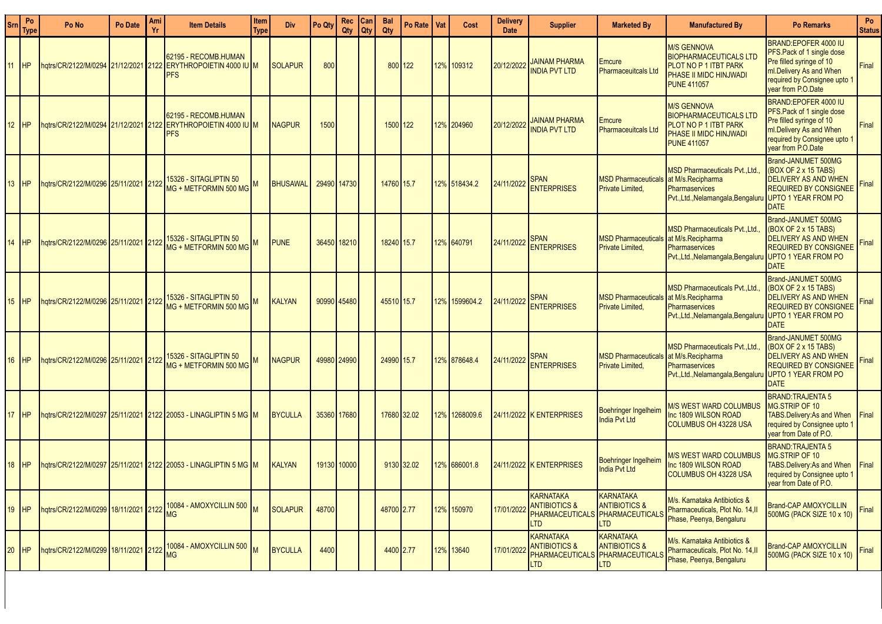| <b>Sm</b> | Po<br><b>Type</b> | Po No                                   | Po Date | Ami<br>Yr | <b>Item Details</b>                                                                                 | Item<br>Type | <b>Div</b>      | Po Qty      | Rec<br>Qty  | Can<br>Qty | <b>Bal</b><br>Qty | Po Rate I  | Vat | Cost          | <b>Delivery</b><br><b>Date</b> | <b>Supplier</b>                                                                               | <b>Marketed By</b>                                              | <b>Manufactured By</b>                                                                                                                        | <b>Po Remarks</b>                                                                                                                                               | Po<br><b>Status</b> |
|-----------|-------------------|-----------------------------------------|---------|-----------|-----------------------------------------------------------------------------------------------------|--------------|-----------------|-------------|-------------|------------|-------------------|------------|-----|---------------|--------------------------------|-----------------------------------------------------------------------------------------------|-----------------------------------------------------------------|-----------------------------------------------------------------------------------------------------------------------------------------------|-----------------------------------------------------------------------------------------------------------------------------------------------------------------|---------------------|
| 11        |                   |                                         |         |           | 62195 - RECOMB.HUMAN<br>hqtrs/CR/2122/M/0294 21/12/2021 2122 ERYTHROPOIETIN 4000 IU M<br><b>PFS</b> |              | <b>SOLAPUR</b>  | 800         |             |            |                   | 800 122    |     | 12% 109312    | 20/12/2022                     | <b>JAINAM PHARMA</b><br><b>INDIA PVT LTD</b>                                                  | <b>Emcure</b><br><b>Pharmaceuitcals Ltd</b>                     | <b>M/S GENNOVA</b><br><b>BIOPHARMACEUTICALS LTD</b><br>PLOT NO P 1 ITBT PARK<br>PHASE II MIDC HINJWADI<br><b>PUNE 411057</b>                  | BRAND:EPOFER 4000 IU<br>PFS.Pack of 1 single dose<br>Pre filled syringe of 10<br>ml.Delivery As and When<br>required by Consignee upto 1<br>vear from P.O.Date  | Final               |
| 12        | <b>HP</b>         |                                         |         |           | 62195 - RECOMB.HUMAN<br><b>IPFS</b>                                                                 |              | <b>NAGPUR</b>   | 1500        |             |            | 1500 122          |            |     | 12% 204960    | 20/12/2022                     | <b>JAINAM PHARMA</b><br><b>INDIA PVT LTD</b>                                                  | <b>Emcure</b><br><b>Pharmaceuitcals Ltd</b>                     | <b>M/S GENNOVA</b><br><b>BIOPHARMACEUTICALS LTD</b><br>PLOT NO P 1 ITBT PARK<br>PHASE II MIDC HINJWADI<br><b>PUNE 411057</b>                  | BRAND:EPOFER 4000 IU<br>PFS. Pack of 1 single dose<br>Pre filled syringe of 10<br>ml.Delivery As and When<br>required by Consignee upto 1<br>year from P.O.Date | Final               |
| <b>13</b> |                   | hqtrs/CR/2122/M/0296 25/11/2021 2122    |         |           | 15326 - SITAGLIPTIN 50<br>MG + METFORMIN 500 MG                                                     |              | <b>BHUSAWAL</b> | 29490 14730 |             |            | 14760 15.7        |            |     | 12% 518434.2  | 24/11/2022                     | <b>SPAN</b><br><b>ENTERPRISES</b>                                                             | <b>MSD Pharmaceuticals</b><br><b>Private Limited,</b>           | <b>MSD Pharmaceuticals Pvt., Ltd.</b><br>at M/s.Recipharma<br><b>Pharmaservices</b><br>Pvt., Ltd., Nelamangala, Bengaluru UPTO 1 YEAR FROM PO | Brand-JANUMET 500MG<br>(BOX OF 2 x 15 TABS)<br><b>DELIVERY AS AND WHEN</b><br><b>REQUIRED BY CONSIGNEE</b><br><b>DATE</b>                                       | Final               |
|           |                   | hqtrs/CR/2122/M/0296 25/11/2021 2122    |         |           | 15326 - SITAGLIPTIN 50<br>MG + METFORMIN 500 MG                                                     |              | <b>PUNE</b>     | 36450 18210 |             |            | 18240 15.7        |            |     | 12% 640791    | 24/11/2022                     | <b>SPAN</b><br><b>ENTERPRISES</b>                                                             | MSD Pharmaceuticals at M/s. Recipharma<br>Private Limited,      | <b>MSD Pharmaceuticals PvtLtd.</b><br><b>Pharmaservices</b><br>Pvt., Ltd., Nelamangala, Bengaluru UPTO 1 YEAR FROM PO                         | Brand-JANUMET 500MG<br>(BOX OF 2 x 15 TABS)<br><b>DELIVERY AS AND WHEN</b><br><b>REQUIRED BY CONSIGNEE</b><br><b>DATE</b>                                       | Final               |
| <b>15</b> | H <sub>P</sub>    | hqtrs/CR/2122/M/0296 25/11/2021 2122    |         |           | 15326 - SITAGLIPTIN 50<br>MG + METFORMIN 500 MG                                                     |              | <b>KALYAN</b>   | 90990 45480 |             |            | 45510 15.7        |            |     | 12% 1599604.2 | 24/11/2022                     | <b>SPAN</b><br><b>ENTERPRISES</b>                                                             | <b>MSD Pharmaceuticals</b><br><b>Private Limited.</b>           | <b>MSD Pharmaceuticals PvtLtd.</b><br>at M/s.Recipharma<br><b>Pharmaservices</b><br>Pvt., Ltd., Nelamangala, Bengaluru UPTO 1 YEAR FROM PO    | Brand-JANUMET 500MG<br>(BOX OF 2 x 15 TABS)<br><b>DELIVERY AS AND WHEN</b><br><b>REQUIRED BY CONSIGNEE</b><br><b>DATE</b>                                       | Final               |
| 16        |                   | hqtrs/CR/2122/M/0296 25/11/2021 2122    |         |           | 15326 - SITAGLIPTIN 50<br>MG + METFORMIN 500 MG                                                     |              | <b>NAGPUR</b>   |             | 49980 24990 |            | 24990 15.7        |            |     | 12% 878648.4  | 24/11/2022                     | <b>SPAN</b><br><b>ENTERPRISES</b>                                                             | <b>MSD Pharmaceuticals</b><br>Private Limited,                  | <b>MSD Pharmaceuticals Pvt., Ltd.</b><br>at M/s.Recipharma<br>Pharmaservices<br>Pvt., Ltd., Nelamangala, Bengaluru                            | Brand-JANUMET 500MG<br>(BOX OF 2 x 15 TABS)<br><b>DELIVERY AS AND WHEN</b><br><b>REQUIRED BY CONSIGNEE</b><br>UPTO 1 YEAR FROM PO<br><b>DATE</b>                | Final               |
| l 17      | <b>HP</b>         |                                         |         |           |                                                                                                     |              | <b>BYCULLA</b>  | 35360 17680 |             |            | 17680 32.02       |            |     | 12% 1268009.6 |                                | 24/11/2022 K ENTERPRISES                                                                      | Boehringer Ingelheim<br><b>India Pvt Ltd</b>                    | <i>M/</i> S WEST WARD COLUMBUS<br>Inc 1809 WILSON ROAD<br><b>COLUMBUS OH 43228 USA</b>                                                        | <b>BRAND:TRAJENTA 5</b><br><b>MG.STRIP OF 10</b><br>TABS.Delivery:As and When<br>required by Consignee upto 1<br>year from Date of P.O.                         | Final               |
| l 18      | H <sub>P</sub>    |                                         |         |           |                                                                                                     |              | KALYAN          | 19130 10000 |             |            |                   | 9130 32.02 |     | 12% 686001.8  |                                | 24/11/2022 K ENTERPRISES                                                                      | Boehringer Ingelheim<br><b>India Pvt Ltd</b>                    | <u>M/S WEST WARD COLUMBUS</u><br>Inc 1809 WILSON ROAD<br>COLUMBUS OH 43228 USA                                                                | <b>BRAND: TRAJENTA 5</b><br>MG.STRIP OF 10<br><b>FABS.Delivery:As and When</b><br>required by Consignee upto 1<br>year from Date of P.O.                        | Final               |
| 19        | <b>HP</b>         | hqtrs/CR/2122/M/0299 18/11/2021 2122 MG |         |           | 10084 - AMOXYCILLIN 500 M                                                                           |              | SOLAPUR         | 48700       |             |            | 48700 2.77        |            |     | 12% 150970    | 17/01/2022                     | KARNATAKA<br><b>ANTIBIOTICS &amp;</b><br>PHARMACEUTICALS<br><b>LTD</b>                        | KARNATAKA<br><b>ANTIBIOTICS &amp;</b><br>PHARMACEUTICALS<br>LTD | M/s. Karnataka Antibiotics &<br>Pharmaceuticals, Plot No. 14, II<br>Phase, Peenya, Bengaluru                                                  | Brand-CAP AMOXYCILLIN<br>500MG (PACK SIZE 10 x 10)                                                                                                              | Final               |
| 20        | HP                | hqtrs/CR/2122/M/0299 18/11/2021 2122    |         |           | 10084 - AMOXYCILLIN 500 M<br>MG                                                                     |              | <b>BYCULLA</b>  | 4400        |             |            | 4400 2.77         |            |     | 12% 13640     | 17/01/2022                     | <b>KARNATAKA</b><br><b>ANTIBIOTICS &amp;</b><br>PHARMACEUTICALS PHARMACEUTICALS<br><b>LTD</b> | <b>KARNATAKA</b><br><b>ANTIBIOTICS &amp;</b><br><b>LTD</b>      | M/s. Karnataka Antibiotics &<br>Pharmaceuticals, Plot No. 14, II<br>Phase, Peenya, Bengaluru                                                  | <b>Brand-CAP AMOXYCILLIN</b><br>500MG (PACK SIZE 10 x 10)                                                                                                       | Final               |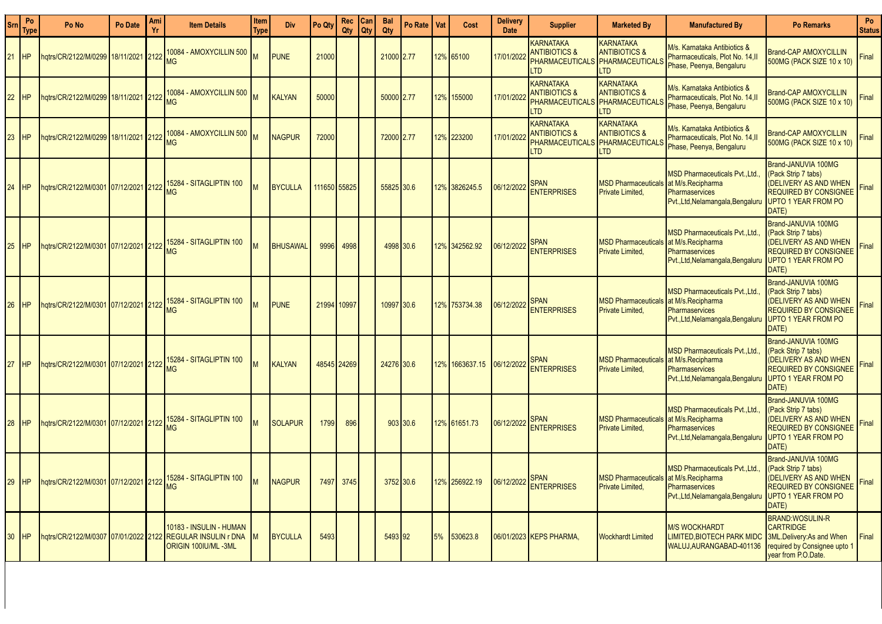| Sm        | Po<br>Type | Po No                                | Po Date | Ami<br>Yr | <b>Item Details</b>                                          | Item<br><b>Type</b>     | <b>Div</b>      | Po Qty       | Rec<br>Qty | Can<br>Qty | <b>Bal</b><br>Qty | Po Rate   | Vat | <b>Cost</b>    | <b>Delivery</b><br><b>Date</b> | <b>Supplier</b>                                                                      | <b>Marketed By</b>                                                                       | <b>Manufactured By</b>                                                                                                   | <b>Po Remarks</b>                                                                                                                   | Po<br><b>Status</b> |
|-----------|------------|--------------------------------------|---------|-----------|--------------------------------------------------------------|-------------------------|-----------------|--------------|------------|------------|-------------------|-----------|-----|----------------|--------------------------------|--------------------------------------------------------------------------------------|------------------------------------------------------------------------------------------|--------------------------------------------------------------------------------------------------------------------------|-------------------------------------------------------------------------------------------------------------------------------------|---------------------|
| <b>21</b> | <b>HP</b>  | hqtrs/CR/2122/M/0299 18/11/2021      |         | 2122      | 10084 - AMOXYCILLIN 500<br>MG                                |                         | <b>PUNE</b>     | 21000        |            |            | 21000 2.77        |           |     | 12% 65100      | 17/01/2022                     | <b>KARNATAKA</b><br><b>ANTIBIOTICS &amp;</b><br><b>PHARMACEUTICALS</b><br><b>LTD</b> | KARNATAKA<br><b>ANTIBIOTICS &amp;</b><br><b>PHARMACEUTICALS</b><br><b>TD</b>             | M/s. Karnataka Antibiotics &<br>Pharmaceuticals, Plot No. 14, II<br>Phase, Peenya, Bengaluru                             | <b>Brand-CAP AMOXYCILLIN</b><br>500MG (PACK SIZE 10 x 10)                                                                           | Final               |
| 22        | HP         | hqtrs/CR/2122/M/0299 18/11/2021 2122 |         |           | 10084 - AMOXYCILLIN 500 M<br><b>MG</b>                       |                         | <b>KALYAN</b>   | 50000        |            |            | 50000 2.77        |           | 12% | 155000         | 17/01/202:                     | <b>KARNATAKA</b><br><b>ANTIBIOTICS &amp;</b><br><b>PHARMACEUTICALS</b><br><b>LTD</b> | <b>KARNATAKA</b><br><b>ANTIBIOTICS &amp;</b><br><b>PHARMACEUTICALS</b><br><b>LTD</b>     | M/s. Karnataka Antibiotics &<br>Pharmaceuticals, Plot No. 14.II<br>Phase, Peenya, Bengaluru                              | <b>Brand-CAP AMOXYCILLIN</b><br>500MG (PACK SIZE 10 x 10)                                                                           | Final               |
| 23        | <b>HP</b>  | 18/11/2021   16/11/2021   19/11/2021 |         | 2122      | 10084 - AMOXYCILLIN 500 M<br><b>MG</b>                       |                         | <b>NAGPUR</b>   | 72000        |            |            | 72000 2.77        |           |     | 12% 223200     | 17/01/202                      | <b>KARNATAKA</b><br><b>ANTIBIOTICS &amp;</b><br><b>PHARMACEUTICALS</b><br><b>LTD</b> | <b>KARNATAKA</b><br><b>ANTIBIOTICS &amp;</b><br><b>PHARMACEUTICALS</b><br>TD <sub></sub> | M/s. Karnataka Antibiotics &<br>Pharmaceuticals, Plot No. 14,II<br>Phase, Peenya, Bengaluru                              | <b>Brand-CAP AMOXYCILLIN</b><br>500MG (PACK SIZE 10 x 10)                                                                           | Final               |
| 24        | <b>HP</b>  |                                      |         |           | hqtrs/CR/2122/M/0301 07/12/2021 2122 15284 - SITAGLIPTIN 100 |                         | <b>BYCULLA</b>  | 111650 55825 |            |            | 55825 30.6        |           |     | 12% 3826245.5  | 06/12/2022                     | Span<br><b>ENTERPRISES</b>                                                           | <b>MSD Pharmaceuticals</b><br><b>Private Limited,</b>                                    | <b>MSD Pharmaceuticals Pvt., Ltd.</b><br>at M/s.Recipharma<br>Pharmaservices<br>Pvt., Ltd, Nelamangala, Bengaluru        | Brand-JANUVIA 100MG<br>(Pack Strip 7 tabs)<br>(DELIVERY AS AND WHEN<br><b>REQUIRED BY CONSIGNEE</b><br>UPTO 1 YEAR FROM PO<br>DATE) | Final               |
| 25        | <b>HP</b>  |                                      |         |           | hqtrs/CR/2122/M/0301 07/12/2021 2122 15284 - SITAGLIPTIN 100 |                         | <b>BHUSAWAL</b> | 9996         | 4998       |            |                   | 4998 30.6 |     | 12% 342562.92  | 06/12/2022                     | Span<br><b>ENTERPRISES</b>                                                           | <b>MSD Pharmaceuticals</b><br><b>Private Limited.</b>                                    | <b>MSD Pharmaceuticals Pvt., Ltd</b><br>at M/s.Recipharma<br>Pharmaservices<br>Pvt., Ltd, Nelamangala, Bengaluru         | Brand-JANUVIA 100MG<br>(Pack Strip 7 tabs)<br>(DELIVERY AS AND WHEN<br>REQUIRED BY CONSIGNEE<br><b>UPTO 1 YEAR FROM PO</b><br>DATE) | Final               |
| 26        | <b>HP</b>  |                                      |         |           | hqtrs/CR/2122/M/0301 07/12/2021 2122 15284 - SITAGLIPTIN 100 |                         | <b>PUNE</b>     | 21994 10997  |            |            | 10997 30.6        |           |     | 12% 753734.38  | 06/12/2022                     | <b>SPAN</b><br><b>ENTERPRISES</b>                                                    | <b>MSD Pharmaceuticals</b><br><b>Private Limited.</b>                                    | <b>MSD Pharmaceuticals PvtLtd.</b><br>at M/s.Recipharma<br>Pharmaservices<br>Pvt., Ltd, Nelamangala, Bengaluru           | Brand-JANUVIA 100MG<br>(Pack Strip 7 tabs)<br>(DELIVERY AS AND WHEN<br><b>REQUIRED BY CONSIGNEE</b><br>UPTO 1 YEAR FROM PO<br>DATE) | Final               |
| 27        | <b>HP</b>  |                                      |         |           | hqtrs/CR/2122/M/0301 07/12/2021 2122 15284 - SITAGLIPTIN 100 |                         | <b>KALYAN</b>   | 48545 24269  |            |            | 24276 30.6        |           |     | 12% 1663637.15 | 06/12/2022                     | <b>SPAN</b><br><b>ENTERPRISES</b>                                                    | <b>MSD Pharmaceuticals</b><br><b>Private Limited,</b>                                    | <b>MSD Pharmaceuticals Pvt., Ltd.</b><br>at M/s.Recipharma<br>Pharmaservices<br>Pvt., Ltd, Nelamangala, Bengaluru        | Brand-JANUVIA 100MG<br>(Pack Strip 7 tabs)<br>(DELIVERY AS AND WHEN<br><b>REQUIRED BY CONSIGNEE</b><br>UPTO 1 YEAR FROM PO<br>DATE) | Final               |
| 28        | <b>HP</b>  |                                      |         |           | hqtrs/CR/2122/M/0301 07/12/2021 2122 15284 - SITAGLIPTIN 100 |                         | <b>SOLAPUR</b>  | 1799         | 896        |            |                   | 903 30.6  |     | 12% 61651.73   | 06/12/2022                     | <b>SPAN</b><br><b>ENTERPRISES</b>                                                    | <b>MSD Pharmaceuticals</b><br><b>Private Limited,</b>                                    | <b>MSD Pharmaceuticals Pvt., Ltd.</b><br>at M/s.Recipharma<br><b>Pharmaservices</b><br>Pvt., Ltd, Nelamangala, Bengaluru | Brand-JANUVIA 100MG<br>(Pack Strip 7 tabs)<br>(DELIVERY AS AND WHEN<br><b>REQUIRED BY CONSIGNEE</b><br>UPTO 1 YEAR FROM PO<br>DATE) | Final               |
| 29        | <b>HP</b>  |                                      |         |           | hqtrs/CR/2122/M/0301 07/12/2021 2122 15284 - SITAGLIPTIN 100 |                         | <b>NAGPUR</b>   | 7497         | 3745       |            | 3752 30.6         |           |     | 12% 256922.19  | 06/12/2022                     | <b>SPAN</b><br><b>ENTERPRISES</b>                                                    | <b>MSD Pharmaceuticals</b><br>Private Limited,                                           | <b>MSD Pharmaceuticals PytLtd.</b><br>at M/s.Recipharma<br><b>Pharmaservices</b><br>Pvt., Ltd, Nelamangala, Bengalur     | Brand-JANUVIA 100MG<br>(Pack Strip 7 tabs)<br>(DELIVERY AS AND WHEN<br><b>REQUIRED BY CONSIGNEE</b><br>UPTO 1 YEAR FROM PO<br>DATE) | Final               |
| 30        | <b>HP</b>  |                                      |         |           | 10183 - INSULIN - HUMAN<br><b>ORIGIN 100IU/ML-3ML</b>        | $\mathsf{I} \mathsf{M}$ | <b>BYCULLA</b>  | 5493         |            |            | 5493 92           |           | 5%  | 530623.8       |                                | 06/01/2023 KEPS PHARMA                                                               | <b>Wockhardt Limited</b>                                                                 | <b>M/S WOCKHARDT</b><br>LIMITED.BIOTECH PARK MIDO<br>WALUJ, AURANGABAD-401136                                            | <b>BRAND:WOSULIN-R</b><br><b>CARTRIDGE</b><br>3ML.Delivery:As and When<br>required by Consignee upto 1<br>year from P.O.Date.       | Final               |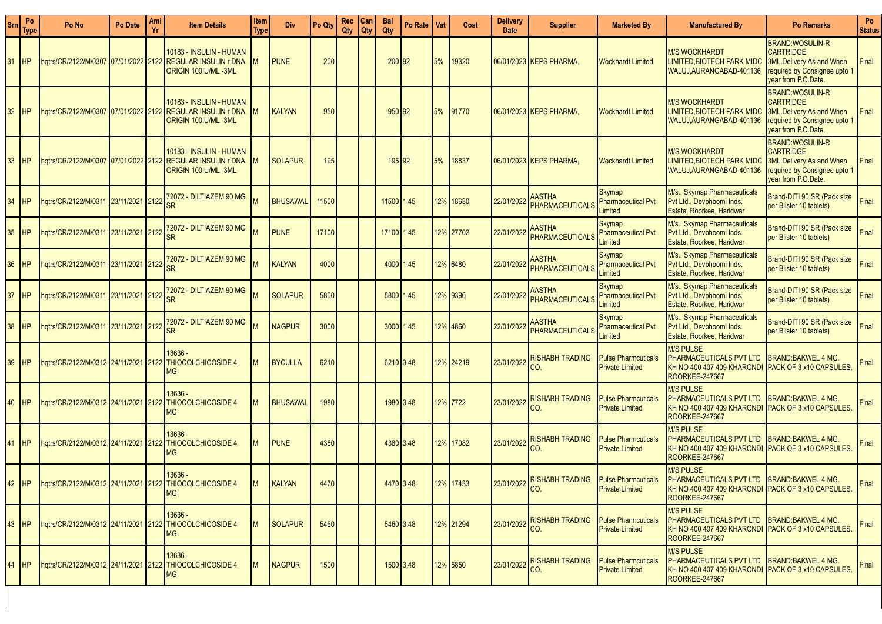| <b>Srn</b>      | Po<br>Type | Po No                                        | Po Date         | Ami | <b>Item Details</b>                                                             | Item<br>Type | <b>Div</b>      | Po Qty | Rec   Can<br>Qty | <b>Qty</b> | <b>Bal</b><br>Qty | Po Rate I | Vat | Cost      | <b>Delivery</b><br><b>Date</b> | <b>Supplier</b>                                       | <b>Marketed By</b>                                    | <b>Manufactured By</b>                                                                                                                 | <b>Po Remarks</b>                                                                                                             | Po<br><b>Status</b> |
|-----------------|------------|----------------------------------------------|-----------------|-----|---------------------------------------------------------------------------------|--------------|-----------------|--------|------------------|------------|-------------------|-----------|-----|-----------|--------------------------------|-------------------------------------------------------|-------------------------------------------------------|----------------------------------------------------------------------------------------------------------------------------------------|-------------------------------------------------------------------------------------------------------------------------------|---------------------|
| 31              | <b>IHP</b> | hqtrs/CR/2122/M/0307 07/01/2022 2122         |                 |     | 10183 - INSULIN - HUMAN<br><b>REGULAR INSULIN r DNA</b><br>ORIGIN 100IU/ML -3ML |              | <b>PUNE</b>     | 200    |                  |            | 200 92            |           | 5%  | 19320     |                                | 06/01/2023 KEPS PHARMA.                               | <b>Wockhardt Limited</b>                              | <b>M/S WOCKHARDT</b><br>LIMITED.BIOTECH PARK MIDO<br>WALUJ, AURANGABAD-401136                                                          | <b>BRAND:WOSULIN-R</b><br><b>CARTRIDGE</b><br>3ML.Delivery:As and When<br>required by Consignee upto 1<br>year from P.O.Date. | Final               |
| 32 <sup>2</sup> | <b>IHP</b> | hqtrs/CR/2122/M/0307 07/01/2022 2122         |                 |     | 10183 - INSULIN - HUMAN<br><b>REGULAR INSULIN r DNA</b><br>ORIGIN 100IU/ML-3ML  |              | <b>KALYAN</b>   | 950    |                  |            | 950 92            |           | 5%  | 91770     |                                | 06/01/2023 KEPS PHARMA,                               | <b>Wockhardt Limited</b>                              | <b>M/S WOCKHARDT</b><br>LIMITED.BIOTECH PARK MID(<br>WALUJ, AURANGABAD-401136                                                          | <b>BRAND:WOSULIN-R</b><br><b>CARTRIDGE</b><br>3ML.Delivery:As and When<br>required by Consignee upto 1<br>year from P.O.Date. | Final               |
| 33 <sup>°</sup> | <b>HP</b>  | hqtrs/CR/2122/M/0307 07/01/2022 2122         |                 |     | 10183 - INSULIN - HUMAN<br><b>REGULAR INSULIN r DNA</b><br>ORIGIN 100IU/ML-3ML  |              | <b>SOLAPUR</b>  | 195    |                  |            | 195 92            |           | 5%  | 18837     |                                | 06/01/2023 KEPS PHARMA.                               | <b>Wockhardt Limited</b>                              | <b>M/S WOCKHARDT</b><br>LIMITED,BIOTECH PARK MID(<br>WALUJ, AURANGABAD-401136                                                          | <b>BRAND:WOSULIN-R</b><br><b>CARTRIDGE</b><br>3ML.Delivery:As and When<br>required by Consignee upto 1<br>vear from P.O.Date. | Final               |
| 34              | IHP        | hqtrs/CR/2122/M/0311                         | 23/11/2021 2122 |     | 72072 - DILTIAZEM 90 MG<br>SR                                                   |              | <b>BHUSAWAL</b> | 11500  |                  |            | 11500 1.45        |           |     | 12% 18630 | 22/01/2022                     | <b>AASTHA</b><br>PHARMACEUTICALS                      | Skymap<br><b>Pharmaceutical Pvt</b><br>Limited        | M/s Skymap Pharmaceuticals<br>Pvt Ltd., Devbhoomi Inds.<br>Estate, Roorkee, Haridwar                                                   | Brand-DITI 90 SR (Pack size<br>per Blister 10 tablets)                                                                        | Final               |
| 35 <sub>5</sub> | IHP        | hqtrs/CR/2122/M/0311                         | 23/11/2021 2122 |     | 72072 - DILTIAZEM 90 MG<br>SR                                                   |              | <b>PUNE</b>     | 17100  |                  |            | 17100 1.45        |           |     | 12% 27702 | 22/01/2022                     | <b>AASTHA</b><br>PHARMACEUTICALS                      | Skymap<br><b>Pharmaceutical Pvt</b><br>Limited        | M/s Skymap Pharmaceuticals<br>Pyt Ltd., Devbhoomi Inds.<br>Estate, Roorkee, Haridwar                                                   | Brand-DITI 90 SR (Pack size<br>per Blister 10 tablets)                                                                        | Final               |
| 36              | IHP        | hqtrs/CR/2122/M/0311 23/11/2021 2122         |                 |     | 72072 - DILTIAZEM 90 MG<br>SR                                                   |              | <b>KALYAN</b>   | 4000   |                  |            | 4000 1.45         |           |     | 12% 6480  | 22/01/2022                     | <b>AASTHA</b><br>PHARMACEUTICALS                      | Skymap<br><b>Pharmaceutical Pvt</b><br>Limited        | M/s Skymap Pharmaceuticals<br>Pyt Ltd., Devbhoomi Inds.<br>Estate, Roorkee, Haridwar                                                   | Brand-DITI 90 SR (Pack size<br>per Blister 10 tablets)                                                                        | Final               |
| 37              | <b>HP</b>  | hqtrs/CR/2122/M/0311                         | 23/11/2021 2122 |     | 72072 - DILTIAZEM 90 MG<br>SR                                                   |              | <b>SOLAPUR</b>  | 5800   |                  |            | 5800 1.45         |           |     | 12% 9396  | 22/01/2022                     | <b>AASTHA</b><br>PHARMACEUTICALS                      | <b>Skymap</b><br><b>Pharmaceutical Pvt</b><br>Limited | M/s Skymap Pharmaceuticals<br>Pyt Ltd., Devbhoomi Inds.<br>Estate, Roorkee, Haridwar                                                   | Brand-DITI 90 SR (Pack size<br>per Blister 10 tablets)                                                                        | Final               |
| 38              | <b>HP</b>  | hqtrs/CR/2122/M/0311                         | 23/11/2021 2122 |     | 72072 - DILTIAZEM 90 MG<br>SR                                                   |              | <b>NAGPUR</b>   | 3000   |                  |            | 3000 1.45         |           |     | 12% 4860  | 22/01/2022                     | <b>AASTHA</b><br><b>PHARMACEUTICALS</b>               | Skymap<br><b>Pharmaceutical Pvt</b><br>Limited        | M/s Skymap Pharmaceuticals<br>Pvt Ltd., Devbhoomi Inds.<br>Estate, Roorkee, Haridwar                                                   | Brand-DITI 90 SR (Pack size<br>per Blister 10 tablets)                                                                        | Final               |
| 39              | <b>HP</b>  | hqtrs/CR/2122/M/0312 24/11/2021 2122         |                 |     | 13636 -<br><b>THIOCOLCHICOSIDE 4</b><br>МG                                      | M            | <b>BYCULLA</b>  | 6210   |                  |            | 6210 3.48         |           |     | 12% 24219 | 23/01/2022                     | <b>RISHABH TRADING</b><br>CO.                         | <b>Pulse Pharmcuticals</b><br><b>Private Limited</b>  | <b>M/S PULSE</b><br>PHARMACEUTICALS PVT LTD<br>KH NO 400 407 409 KHARONDI PACK OF 3 x10 CAPSULES<br>ROORKEE-247667                     | <b>BRAND:BAKWEL 4 MG.</b>                                                                                                     | Final               |
| 40              | <b>IHP</b> | hqtrs/CR/2122/M/0312 24/11/2021 2122         |                 |     | 13636 -<br><b>THIOCOLCHICOSIDE 4</b><br><b>MG</b>                               | M            | BHUSAWAL        | 1980   |                  |            | 1980 3.48         |           |     | 12% 7722  | 23/01/2022                     | <b>RISHABH TRADING</b><br>CO.                         | <b>Pulse Pharmcuticals</b><br><b>Private Limited</b>  | <b>M/S PULSE</b><br>PHARMACEUTICALS PVT LTD<br>KH NO 400 407 409 KHARONDI PACK OF 3 x10 CAPSULES.<br>ROORKEE-247667                    | <b>BRAND:BAKWEL 4 MG.</b>                                                                                                     | Final               |
| 41              |            | hqtrs/CR/2122/M/0312 24/11/2021 2122         |                 |     | 13636 -<br><b>THIOCOLCHICOSIDE 4</b><br><b>MG</b>                               | M            | <b>PUNE</b>     | 4380   |                  |            | 4380 3.48         |           |     | 12% 17082 | 23/01/2022                     | <b>RISHABH TRADING</b><br>CO.                         | <b>Pulse Pharmcuticals</b><br><b>Private Limited</b>  | <b>M/S PULSE</b><br>PHARMACEUTICALS PVT LTD<br>KH NO 400 407 409 KHARONDI PACK OF 3 x10 CAPSULES.<br>ROORKEE-247667                    | <b>BRAND:BAKWEL 4 MG.</b>                                                                                                     | Final               |
|                 |            | 42 HP   hqtrs/CR/2122/M/0312 24/11/2021 2122 |                 |     | 13636 -<br>THIOCOLCHICOSIDE 4<br><b>MG</b>                                      |              | KALYAN          | 4470   |                  |            | 4470 3.48         |           |     | 12% 17433 |                                | 23/01/2022 RISHABH TRADING Pulse Pharmcuticals<br>CO. |                                                       | <b>M/S PULSE</b><br>PHARMACEUTICALS PVT LTD BRAND:BAKWEL 4 MG.<br>KH NO 400 407 409 KHARONDI PACK OF 3 x10 CAPSULES.<br>ROORKEE-247667 |                                                                                                                               | Final               |
|                 | 43 HP      |                                              |                 |     | 13636 -<br>hqtrs/CR/2122/M/0312 24/11/2021 2122 THIOCOLCHICOSIDE 4<br>MG        | lм           | <b>SOLAPUR</b>  | 5460   |                  |            | 5460 3.48         |           |     | 12% 21294 | 23/01/2022                     | <b>RISHABH TRADING</b><br>ICO.                        | <b>Pulse Pharmcuticals</b><br><b>Private Limited</b>  | <b>M/S PULSE</b><br>PHARMACEUTICALS PVT LTD<br>KH NO 400 407 409 KHARONDI PACK OF 3 x10 CAPSULES.<br>ROORKEE-247667                    | BRAND:BAKWEL 4 MG.                                                                                                            | Final               |
| 44              | <b>IHP</b> |                                              |                 |     | 13636 -<br>hqtrs/CR/2122/M/0312 24/11/2021 2122 THIOCOLCHICOSIDE 4<br>МG        | Iм           | <b>NAGPUR</b>   | 1500   |                  |            | 1500 3.48         |           |     | 12% 5850  |                                | 23/01/2022 RISHABH TRADING<br>CO.                     | <b>Pulse Pharmcuticals</b><br><b>Private Limited</b>  | M/S PULSE<br>PHARMACEUTICALS PVT LTD   BRAND:BAKWEL 4 MG.<br>IKH NO 400 407 409 KHARONDI IPACK OF 3 x10 CAPSULES.<br>ROORKEE-247667    |                                                                                                                               | Final               |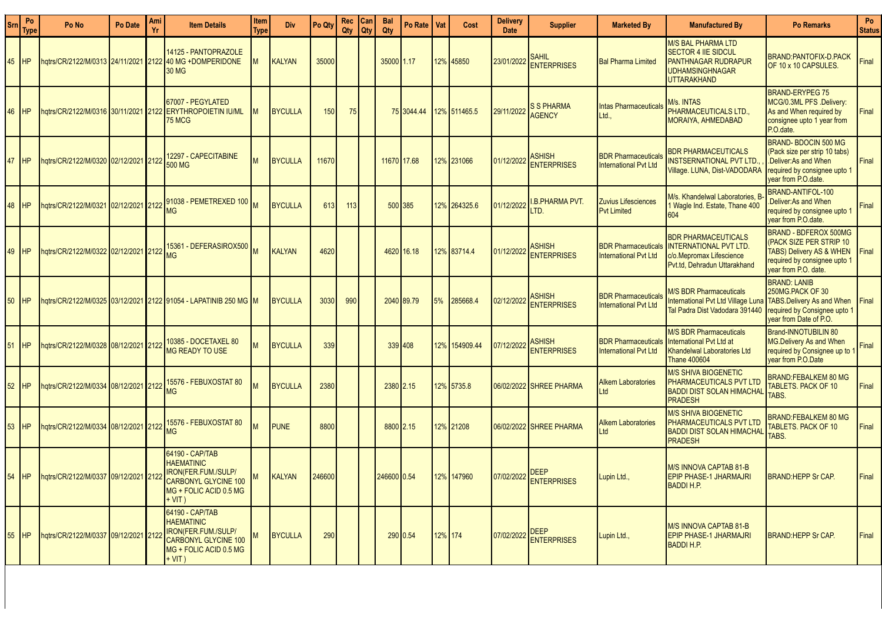| <b>Srn</b> | Po<br><b>Type</b> | Po No                                | Po Date | Ami<br>Yr | <b>Item Details</b>                                                                                                              | Item<br><b>Type</b> | <b>Div</b>     | Po Qty | Rec<br>Qty | Can<br><b>Qty</b> | <b>Bal</b><br>Qty | Po Rate   Vat |         | Cost          | <b>Delivery</b><br><b>Date</b> | <b>Supplier</b>                     | <b>Marketed Bv</b>                                         | <b>Manufactured By</b>                                                                                                                                          | <b>Po Remarks</b>                                                                                                                           | Po<br><b>Status</b> |
|------------|-------------------|--------------------------------------|---------|-----------|----------------------------------------------------------------------------------------------------------------------------------|---------------------|----------------|--------|------------|-------------------|-------------------|---------------|---------|---------------|--------------------------------|-------------------------------------|------------------------------------------------------------|-----------------------------------------------------------------------------------------------------------------------------------------------------------------|---------------------------------------------------------------------------------------------------------------------------------------------|---------------------|
| 45         | IHP               |                                      |         |           | 14125 - PANTOPRAZOLE<br>hqtrs/CR/2122/M/0313 24/11/2021 2122 40 MG +DOMPERIDONE<br><b>30 MG</b>                                  | ıм                  | KALYAN         | 35000  |            |                   | 35000 1.17        |               |         | 12% 45850     | 23/01/2022                     | <b>SAHIL</b><br><b>ENTERPRISES</b>  | <b>Bal Pharma Limited</b>                                  | <b>M/S BAL PHARMA LTD</b><br><b>SECTOR 4 IIE SIDCUL</b><br><b>PANTHNAGAR RUDRAPUR</b><br><b>UDHAMSINGHNAGAR</b><br><b>UTTARAKHAND</b>                           | <b>BRAND:PANTOFIX-D.PACK</b><br><b>OF 10 x 10 CAPSULES.</b>                                                                                 | Final               |
| 46         | <b>HP</b>         |                                      |         |           | 67007 - PEGYLATED<br>hqtrs/CR/2122/M/0316 30/11/2021 2122 ERYTHROPOIETIN IU/ML<br><b>75 MCG</b>                                  |                     | <b>BYCULLA</b> | 150    | 75         |                   |                   | 75 3044.44    |         | 12% 511465.5  | 29/11/2022                     | <b>S S PHARMA</b><br><b>AGENCY</b>  | <b>Intas Pharmaceuticals</b><br>Ltd.,                      | M/s. INTAS<br>PHARMACEUTICALS LTD<br>MORAIYA, AHMEDABAD                                                                                                         | <b>BRAND-ERYPEG 75</b><br>MCG/0.3ML PFS .Delivery:<br>As and When required by<br>consignee upto 1 year from<br>P.O.date.                    | Final               |
| 47         |                   | hqtrs/CR/2122/M/0320 02/12/2021 2122 |         |           | <b>2297 - CAPECITABINE</b><br>500 MG                                                                                             |                     | <b>BYCULLA</b> | 11670  |            |                   |                   | 11670 17.68   |         | 12% 231066    | 01/12/2022                     | <b>ASHISH</b><br><b>ENTERPRISES</b> | <b>BDR Pharmaceuticals</b><br><b>International Pvt Ltd</b> | <b>BDR PHARMACEUTICALS</b><br>INSTSERNATIONAL PVT LTD.<br>Village. LUNA, Dist-VADODARA                                                                          | BRAND-BDOCIN 500 MG<br>(Pack size per strip 10 tabs)<br>.Deliver:As and When<br>required by consignee upto 1<br>year from P.O.date.         | Final               |
| 48         |                   |                                      |         |           | hqtrs/CR/2122/M/0321 02/12/2021 2122 31038 - PEMETREXED 100 M                                                                    |                     | <b>BYCULLA</b> | 613    | 113        |                   |                   | 500 385       |         | 12% 264325.6  | 01/12/2022                     | <b>I.B.PHARMA PVT.</b><br>LTD.      | <b>Zuvius Lifesciences</b><br><b>Pvt Limited</b>           | M/s. Khandelwal Laboratories, B<br>1 Wagle Ind. Estate, Thane 400<br>604                                                                                        | BRAND-ANTIFOL-100<br>Deliver: As and When<br>required by consignee upto<br>vear from P.O.date.                                              | Final               |
| 49         | IHP               |                                      |         |           | 1hqtrs/CR/2122/M/0322 02/12/2021 2122 15361 - DEFERASIROX500 M                                                                   |                     | KALYAN         | 4620   |            |                   |                   | 4620 16.18    |         | 12% 83714.4   | 01/12/2022                     | <b>ASHISH</b><br><b>ENTERPRISES</b> | <b>BDR Pharmaceuticals</b><br><b>International Pvt Ltd</b> | <b>BDR PHARMACEUTICALS</b><br><b>INTERNATIONAL PVT LTD.</b><br>c/o.Mepromax Lifescience<br>Pyt.td. Dehradun Uttarakhand                                         | <b>BRAND - BDFEROX 500MG</b><br>(PACK SIZE PER STRIP 10<br>TABS) Delivery AS & WHEN<br>required by consignee upto 1<br>year from P.O. date. | Final               |
| 50         | IHP               |                                      |         |           | hqtrs/CR/2122/M/0325 03/12/2021 2122 91054 - LAPATINIB 250 MG M                                                                  |                     | <b>BYCULLA</b> | 3030   | 990        |                   |                   | 2040 89.79    | 5%      | 285668.4      | 02/12/2022                     | <b>ASHISH</b><br><b>ENTERPRISES</b> | <b>BDR Pharmaceuticals</b><br><b>International Pvt Ltd</b> | <b>M/S BDR Pharmaceuticals</b><br>International Pvt Ltd Village Luna TABS Delivery As and When<br>Tal Padra Dist Vadodara 391440   required by Consignee upto 1 | <b>BRAND: LANIB</b><br>250MG.PACK OF 30<br>year from Date of P.O.                                                                           | Final               |
| 51         |                   | hqtrs/CR/2122/M/0328 08/12/2021 2122 |         |           | 10385 - DOCETAXEL 80<br><b>MG READY TO USE</b>                                                                                   |                     | <b>BYCULLA</b> | 339    |            |                   |                   | 339 408       |         | 12% 154909.44 | 07/12/202                      | <b>ASHISH</b><br><b>ENTERPRISES</b> | <b>BDR Pharmaceuticals</b><br><b>International Pvt Ltd</b> | <b>M/S BDR Pharmaceuticals</b><br><b>International Pyt Ltd at</b><br><b>Khandelwal Laboratories Ltd</b><br><b>Thane 400604</b>                                  | Brand-INNOTUBILIN 80<br>MG.Delivery As and When<br>required by Consignee up to<br>vear from P.O.Date                                        | Final               |
| 52         |                   | hqtrs/CR/2122/M/0334 08/12/2021 2122 |         |           | 15576 - FEBUXOSTAT 80<br><b>MG</b>                                                                                               |                     | <b>BYCULLA</b> | 2380   |            |                   |                   | 2380 2.15     |         | 12% 5735.8    |                                | 06/02/2022 SHREE PHARMA             | <b>Alkem Laboratories</b><br>Ltd                           | <b>M/S SHIVA BIOGENETIC</b><br>PHARMACEUTICALS PVT LTD<br><b>BADDI DIST SOLAN HIMACHAL</b><br><b>PRADESH</b>                                                    | <b>BRAND:FEBALKEM 80 MG</b><br><b>TABLETS. PACK OF 10</b><br>Tabs.                                                                          | Final               |
| 53         | <b>IHP</b>        |                                      |         |           | hqtrs/CR/2122/M/0334 08/12/2021 2122 MG                                                                                          |                     | <b>PUNE</b>    | 8800   |            |                   | 8800 2.15         |               |         | 12% 21208     |                                | 06/02/2022 SHREE PHARMA             | <b>Alkem Laboratories</b><br>Ltd                           | <b>M/S SHIVA BIOGENETIC</b><br>PHARMACEUTICALS PVT LTD<br><b>BADDI DIST SOLAN HIMACHAL</b><br><b>PRADESH</b>                                                    | <b>BRAND:FEBALKEM 80 MG</b><br><b>FABLETS, PACK OF 10</b><br>TABS.                                                                          | Final               |
| 54         | <b>HP</b>         | hqtrs/CR/2122/M/0337 09/12/2021 2122 |         |           | 64190 - CAP/TAB<br><b>HAEMATINIC</b><br>IRON(FER.FUM./SULP/<br>CARBONYL GLYCINE 100<br>MG + FOLIC ACID 0.5 MG<br>+ VIT )         | Iм                  | KALYAN         | 246600 |            |                   | 246600 0.54       |               |         | 12% 147960    | 07/02/2022                     | <b>DEEP</b><br><b>FNTFRPRISES</b>   | Lupin Ltd.,                                                | M/S INNOVA CAPTAB 81-B<br><b>EPIP PHASE-1 JHARMAJRI</b><br><b>BADDI H.P.</b>                                                                                    | <b>BRAND:HEPP Sr CAP.</b>                                                                                                                   | Final               |
| 55         | IHP               | hgtrs/CR/2122/M/0337 09/12/2021 2122 |         |           | 64190 - CAP/TAB<br><b>HAEMATINIC</b><br>IRON(FER.FUM./SULP/<br><b>CARBONYL GLYCINE 100</b><br>MG + FOLIC ACID 0.5 MG<br>$+ VIT)$ | lм                  | BYCULLA        | 290    |            |                   |                   | 290 0.54      | 12% 174 |               | 07/02/2022                     | <b>DEEP</b><br><b>ENTERPRISES</b>   | Lupin Ltd.,                                                | M/S INNOVA CAPTAB 81-B<br><b>EPIP PHASE-1 JHARMAJRI</b><br><b>BADDI H.P.</b>                                                                                    | <b>BRAND:HEPP Sr CAP.</b>                                                                                                                   | Final               |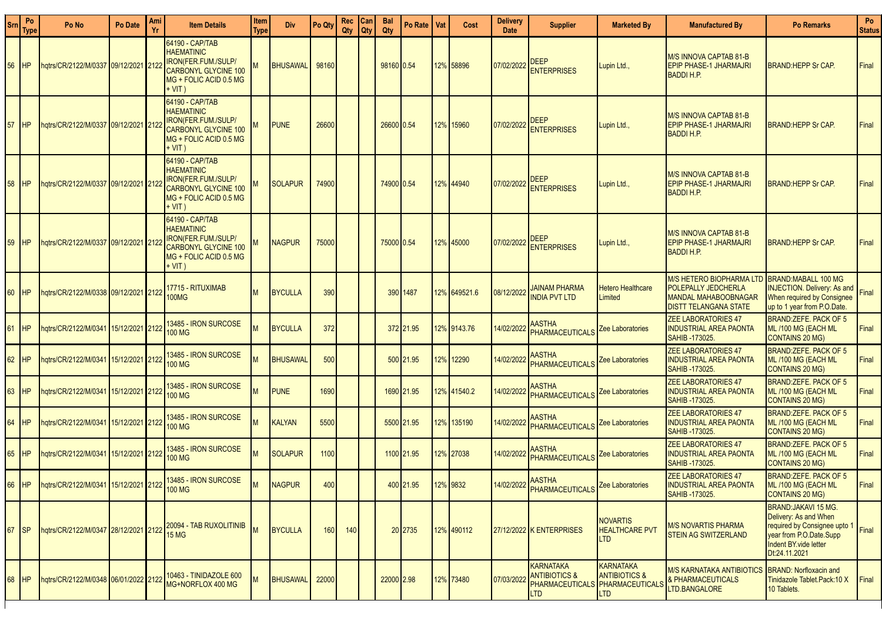| Srn | Po<br><b>Type</b> | Po No                                                | Po Date | Ami<br>Yr | <b>Item Details</b>                                                                                                                     | Item<br>Type | <b>Div</b>       | Po Qty     | Rec<br>Qty | Can<br>  Qty | <b>Bal</b><br>Qty | Po Rate   Vat | Cost         | <b>Delivery</b><br><b>Date</b> | <b>Supplier</b>                                                                      | <b>Marketed By</b>                                                     | <b>Manufactured By</b>                                                                                         | <b>Po Remarks</b>                                                                                                                                              | Po<br><b>Status</b> |
|-----|-------------------|------------------------------------------------------|---------|-----------|-----------------------------------------------------------------------------------------------------------------------------------------|--------------|------------------|------------|------------|--------------|-------------------|---------------|--------------|--------------------------------|--------------------------------------------------------------------------------------|------------------------------------------------------------------------|----------------------------------------------------------------------------------------------------------------|----------------------------------------------------------------------------------------------------------------------------------------------------------------|---------------------|
| 56  | <b>HP</b>         | hqtrs/CR/2122/M/0337 09/12/2021 2122                 |         |           | 64190 - CAP/TAB<br><b>HAEMATINIC</b><br><b>IRON(FER.FUM./SULP/</b><br><b>CARBONYL GLYCINE 100</b><br>MG + FOLIC ACID 0.5 MG<br>+ VIT )  |              | BHUSAWAL   98160 |            |            |              | 98160 0.54        |               | 12% 58896    | 07/02/2022                     | <b>DEEP</b><br><b>ENTERPRISES</b>                                                    | Lupin Ltd.,                                                            | M/S INNOVA CAPTAB 81-B<br><b>EPIP PHASE-1 JHARMAJRI</b><br><b>BADDI H.P.</b>                                   | <b>BRAND:HEPP Sr CAP.</b>                                                                                                                                      | Final               |
| 57  | <b>IHP</b>        | hqtrs/CR/2122/M/0337   09/12/2021   212              |         |           | 64190 - CAP/TAB<br><b>HAEMATINIC</b><br>IRON(FER.FUM./SULP/<br><b>CARBONYL GLYCINE 100</b><br>MG + FOLIC ACID 0.5 MG<br>$+ VIT)$        |              | <b>PUNE</b>      | 26600      |            |              | 26600 0.54        |               | 12% 15960    | 07/02/2022                     | DEEP<br><b>ENTERPRISES</b>                                                           | Lupin Ltd.,                                                            | M/S INNOVA CAPTAB 81-B<br>EPIP PHASE-1 JHARMAJRI<br><b>BADDI H.P.</b>                                          | <b>BRAND:HEPP Sr CAP.</b>                                                                                                                                      | Final               |
| 58  | <b>HP</b>         | hqtrs/CR/2122/M/0337   09/12/2021   212              |         |           | 64190 - CAP/TAB<br><b>HAEMATINIC</b><br><b>IRON(FER.FUM./SULP/</b><br><b>CARBONYL GLYCINE 100</b><br>MG + FOLIC ACID 0.5 MG<br>$+ VIT)$ |              | <b>SOLAPUR</b>   | 74900      |            |              | 74900 0.54        |               | 12% 44940    | 07/02/2022                     | <b>DEEP</b><br><b>ENTERPRISES</b>                                                    | Lupin Ltd.,                                                            | M/S INNOVA CAPTAB 81-B<br>EPIP PHASE-1 JHARMAJRI<br><b>BADDI H.P.</b>                                          | <b>BRAND:HEPP Sr CAP.</b>                                                                                                                                      | Final               |
| 59  | <b>HP</b>         |                                                      |         |           | 64190 - CAP/TAB<br><b>HAEMATINIC</b><br><b>IRON(FER.FUM./SULP/</b><br>CARBONYL GLYCINE 100<br>MG + FOLIC ACID 0.5 MG<br>$+$ VIT)        |              | <b>NAGPUR</b>    | 75000      |            |              | 75000 0.54        |               | 12% 45000    | 07/02/2022                     | <b>DEEP</b><br><b>ENTERPRISES</b>                                                    | Lupin Ltd.,                                                            | M/S INNOVA CAPTAB 81-B<br><b>EPIP PHASE-1 JHARMAJRI</b><br><b>BADDI H.P.</b>                                   | <b>BRAND:HEPP Sr CAP.</b>                                                                                                                                      | Final               |
|     | <b>HP</b>         | hqtrs/CR/2122/M/0338 09/12/2021 2122                 |         |           | 17715 - RITUXIMAB<br><b>100MG</b>                                                                                                       |              | <b>BYCULLA</b>   | 390        |            |              |                   | 390 1487      | 12% 649521.6 | 08/12/2022                     | <b>JAINAM PHARMA</b><br><b>INDIA PVT LTD</b>                                         | <b>Hetero Healthcare</b><br>Limited                                    | <b>M/S HETERO BIOPHARMA LTD</b><br>POLEPALLY JEDCHERLA<br>MANDAL MAHABOOBNAGAR<br><b>DISTT TELANGANA STATE</b> | BRAND:MABALL 100 MG<br><b>INJECTION.</b> Delivery: As and<br>When required by Consignee<br>up to 1 year from P.O.Date.                                         | Final               |
|     | <b>HP</b>         | hqtrs/CR/2122/M/0341 15/12/2021 2122                 |         |           | 13485 - IRON SURCOSE<br>100 MG                                                                                                          |              | <b>BYCULLA</b>   | 372        |            |              |                   | 372 21.95     | 12% 9143.76  | 14/02/202:                     | <b>AASTHA</b><br>PHARMACEUTICALS                                                     | Zee Laboratories                                                       | <b>ZEE LABORATORIES 47</b><br><b>INDUSTRIAL AREA PAONTA</b><br>SAHIB -173025.                                  | BRAND: ZEFE. PACK OF 5<br>ML /100 MG (EACH ML<br>CONTAINS 20 MG)                                                                                               | Final               |
| 62  | <b>HP</b>         | hqtrs/CR/2122/M/0341 15/12/2021 2122                 |         |           | 3485 - IRON SURCOSE<br><b>100 MG</b>                                                                                                    | м            | <b>BHUSAWAL</b>  | 500        |            |              |                   | 500 21.95     | 12% 12290    | 14/02/202:                     | <b>AASTHA</b><br>PHARMACEUTICALS                                                     | Zee Laboratories                                                       | <b>ZEE LABORATORIES 47</b><br><b>INDUSTRIAL AREA PAONTA</b><br>SAHIB-173025.                                   | BRAND: ZEFE. PACK OF 5<br>ML /100 MG (EACH ML<br>CONTAINS 20 MG)                                                                                               | Final               |
| 63  | <b>HP</b>         | hqtrs/CR/2122/M/0341 15/12/2021 2122                 |         |           | 13485 - IRON SURCOSE<br><b>100 MG</b>                                                                                                   |              | <b>PUNE</b>      | 1690       |            |              |                   | 1690 21.95    | 12% 41540.2  | 14/02/2022                     | <b>AASTHA</b><br>PHARMACEUTICALS                                                     | <b>Zee Laboratories</b>                                                | <b>ZEE LABORATORIES 47</b><br><b>INDUSTRIAL AREA PAONTA</b><br>SAHIB -173025.                                  | BRAND:ZEFE. PACK OF 5<br>ML /100 MG (EACH ML<br>CONTAINS 20 MG)                                                                                                | Final               |
| 64  | <b>HP</b>         | hqtrs/CR/2122/M/0341 15/12/2021 2122                 |         |           | 13485 - IRON SURCOSE<br><b>100 MG</b>                                                                                                   | м            | KALYAN           | 5500       |            |              |                   | 5500 21.95    | 12% 135190   | 14/02/202:                     | <b>AASTHA</b><br><b>PHARMACEUTICALS</b>                                              | Zee Laboratories                                                       | <b>ZEE LABORATORIES 47</b><br><b>INDUSTRIAL AREA PAONTA</b><br>SAHIB-173025.                                   | BRAND: ZEFE. PACK OF 5<br>ML /100 MG (EACH ML<br><b>CONTAINS 20 MG)</b>                                                                                        | Final               |
| 65  | <b>HP</b>         | hqtrs/CR/2122/M/0341 15/12/2021 2122                 |         |           | 13485 - IRON SURCOSE<br><b>100 MG</b>                                                                                                   | M            | <b>SOLAPUR</b>   | 1100       |            |              |                   | 1100 21.95    | 12% 27038    | 14/02/2022                     | <b>AASTHA</b><br><b>PHARMACEUTICALS</b>                                              | Zee Laboratories                                                       | <b>ZEE LABORATORIES 47</b><br><b>INDUSTRIAL AREA PAONTA</b><br>SAHIB - 173025.                                 | <b>BRAND:ZEFE, PACK OF 5</b><br>ML /100 MG (EACH ML<br><b>CONTAINS 20 MG)</b>                                                                                  | Final               |
|     |                   | 66 HP hqtrs/CR/2122/M/0341 15/12/2021 2122 19403 - 1 |         |           | 13485 - IRON SURCOSE                                                                                                                    | M            | NAGPUR           | 400        |            |              |                   | 400 21.95     | 12% 9832     |                                | <b>AASTHA</b><br>14/02/2022 PHARMACEUTICALS <sup>!</sup>                             | Zee Laboratories                                                       | <b>ZEE LABORATORIES 47</b><br><b>INDUSTRIAL AREA PAONTA</b><br><b>SAHIB-173025.</b>                            | <b>BRAND:ZEFE, PACK OF 5</b><br>ML /100 MG (EACH ML<br>CONTAINS 20 MG)                                                                                         | <b>Final</b>        |
| 67  | <b>SP</b>         |                                                      |         |           | hqtrs/CR/2122/M/0347 28/12/2021 2122 20094 - TAB RUXOLITINIB<br>15 MG                                                                   |              | <b>BYCULLA</b>   | <b>160</b> | 140        |              |                   | 20 2735       | 12% 490112   |                                | 27/12/2022 K ENTERPRISES                                                             | <b>NOVARTIS</b><br><b>HEALTHCARE PVT</b><br>LTD                        | M/S NOVARTIS PHARMA<br>STEIN AG SWITZERLAND                                                                    | <b>BRAND:JAKAVI 15 MG.</b><br>Delivery: As and When<br>required by Consignee upto 1 Final<br>year from P.O.Date Supp<br>Indent BY.vide letter<br>Dt:24.11.2021 |                     |
| 68  | <b>HP</b>         | hqtrs/CR/2122/M/0348 06/01/2022 2122                 |         |           | 10463 - TINIDAZOLE 600<br>MG+NORFLOX 400 MG                                                                                             | M            | BHUSAWAL   22000 |            |            |              | 22000 2.98        |               | 12% 73480    | 07/03/202                      | <b>KARNATAKA</b><br><b>ANTIBIOTICS &amp;</b><br><b>PHARMACEUTICALS</b><br><b>LTD</b> | <b>KARNATAKA</b><br><b>ANTIBIOTICS &amp;</b><br>PHARMACEUTICALS<br>LTD | M/S KARNATAKA ANTIBIOTICS<br><b>&amp; PHARMACEUTICALS</b><br>LTD.BANGALORE                                     | <b>BRAND: Norfloxacin and</b><br>Tinidazole Tablet.Pack:10 X<br>10 Tablets.                                                                                    | Final               |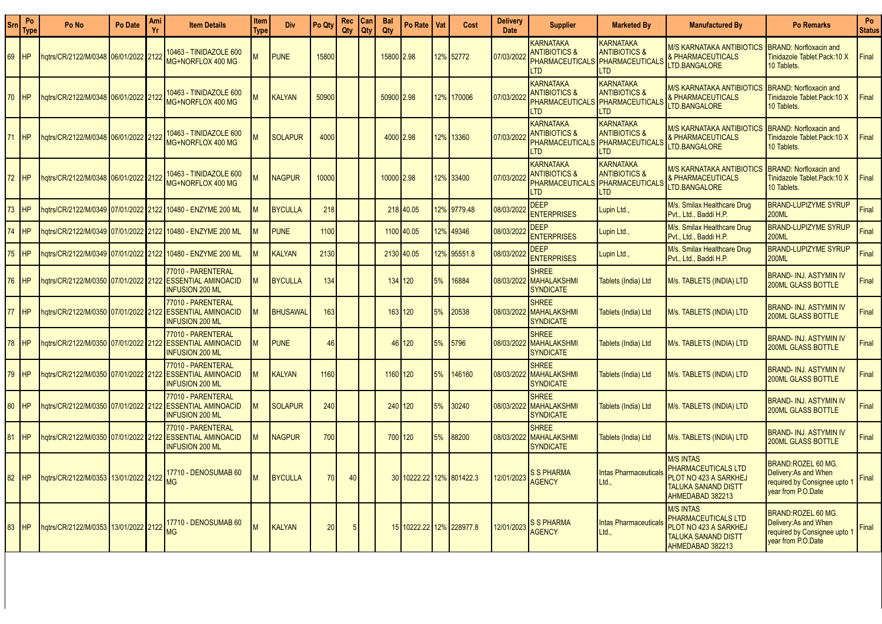| Srn             | Po<br>Турє | Po No                                | Po Date | Ami<br>Yr | <b>Item Details</b>                                                        | Item<br>Type | <b>Div</b>      | Po Qty | Rec<br>Qty | Can<br>Qty | <b>Bal</b><br>Qty | Po Rate                  | Vat | Cost        | <b>Delivery</b><br><b>Date</b> | <b>Supplier</b>                                                                      | <b>Marketed By</b>                                                                       | <b>Manufactured By</b>                                                                                             | <b>Po Remarks</b>                                                                                      | Po<br><b>Status</b> |
|-----------------|------------|--------------------------------------|---------|-----------|----------------------------------------------------------------------------|--------------|-----------------|--------|------------|------------|-------------------|--------------------------|-----|-------------|--------------------------------|--------------------------------------------------------------------------------------|------------------------------------------------------------------------------------------|--------------------------------------------------------------------------------------------------------------------|--------------------------------------------------------------------------------------------------------|---------------------|
| 69              | <b>HP</b>  | 12122/1222/M/0348 06/01/2022 2122    |         |           | 10463 - TINIDAZOLE 600<br>MG+NORFLOX 400 MG                                |              | <b>PUNE</b>     | 15800  |            |            | 15800 2.98        |                          |     | 12% 52772   | 07/03/202                      | <b>KARNATAKA</b><br><b>ANTIBIOTICS &amp;</b><br><b>PHARMACEUTICALS</b><br><b>LTD</b> | KARNATAKA<br><b>ANTIBIOTICS &amp;</b><br>PHARMACEUTICALS<br>TD <sub></sub>               | M/S KARNATAKA ANTIBIOTIC<br><b>&amp; PHARMACEUTICALS</b><br>LTD.BANGALORE                                          | <b>BRAND: Norfloxacin and</b><br>Tinidazole Tablet.Pack:10 X<br>10 Tablets.                            | Final               |
| 70              | <b>HP</b>  |                                      |         |           | 10463 - TINIDAZOLE 600<br>MG+NORFLOX 400 MG                                |              | KALYAN          | 50900  |            |            | 50900 2.98        |                          |     | 12% 170006  | 07/03/202                      | <b>KARNATAKA</b><br><b>ANTIBIOTICS &amp;</b><br><b>PHARMACEUTICALS</b><br><b>LTD</b> | <b>KARNATAKA</b><br><b>ANTIBIOTICS &amp;</b><br>PHARMACEUTICALS<br>T <sub>D</sub>        | M/S KARNATAKA ANTIBIOTICS<br><b>&amp; PHARMACEUTICALS</b><br>LTD.BANGALORE                                         | <b>BRAND: Norfloxacin and</b><br>Tinidazole Tablet.Pack:10 X<br>10 Tablets.                            | Final               |
| 71              | <b>HP</b>  |                                      |         |           | 10463 - TINIDAZOLE 600<br>MG+NORFLOX 400 MG                                |              | <b>SOLAPUR</b>  | 4000   |            |            | 4000 2.98         |                          |     | 12% 13360   | 07/03/2022                     | <b>KARNATAKA</b><br><b>ANTIBIOTICS &amp;</b><br><b>PHARMACEUTICALS</b><br><b>LTD</b> | <b>KARNATAKA</b><br><b>ANTIBIOTICS &amp;</b><br><b>PHARMACEUTICALS</b><br>ITD.           | <i>II/</i> S KARNATAKA ANTIBIOTIC<br><b>&amp; PHARMACEUTICALS</b><br>TD.BANGALORE                                  | <b>BRAND: Norfloxacin and</b><br>Tinidazole Tablet.Pack:10 X<br>10 Tablets.                            | Final               |
| 72 <sub>2</sub> | <b>HP</b>  | hqtrs/CR/2122/M/0348 06/01/2022 2122 |         |           | 10463 - TINIDAZOLE 600<br>MG+NORFLOX 400 MG                                |              | <b>NAGPUR</b>   | 10000  |            |            | 1000012.98        |                          |     | 12% 33400   | 07/03/202                      | <b>KARNATAKA</b><br><b>ANTIBIOTICS &amp;</b><br><b>PHARMACEUTICALS</b><br><b>LTD</b> | <b>KARNATAKA</b><br><b>ANTIBIOTICS &amp;</b><br><b>PHARMACEUTICALS</b><br>TD <sub></sub> | M/S KARNATAKA ANTIBIOTIC<br><b>&amp; PHARMACEUTICALS</b><br>TD.BANGALORE                                           | <b>BRAND: Norfloxacin and</b><br>Tinidazole Tablet.Pack:10 X<br>10 Tablets.                            | Final               |
| 3 <sup>7</sup>  | <b>HP</b>  | ngtrs/CR/2122/M/0349 07/01/2022 2122 |         |           | 10480 - ENZYME 200 ML                                                      |              | <b>BYCULLA</b>  | 218    |            |            |                   | 218 40.05                |     | 12% 9779.48 | 08/03/2022                     | <b>DEEP</b><br><b>ENTERPRISES</b>                                                    | Lupin Ltd.,                                                                              | M/s. Smilax Healthcare Drug<br>Pvt., Ltd., Baddi H.P.                                                              | <b>BRAND-LUPIZYME SYRUP</b><br><b>200ML</b>                                                            | Final               |
| $^{\prime}$ 4   | <b>HP</b>  | gtrs/CR/2122/M/0349 07/01/2022 2122  |         |           | 10480 - ENZYME 200 ML                                                      |              | <b>PUNE</b>     | 1100   |            |            |                   | 1100 40.05               |     | 12% 49346   | 08/03/2022                     | <b>DEEP</b><br><b>ENTERPRISES</b>                                                    | Lupin Ltd.,                                                                              | M/s. Smilax Healthcare Drug<br>Pvt., Ltd., Baddi H.P.                                                              | <b>BRAND-LUPIZYME SYRUP</b><br><b>200ML</b>                                                            | Final               |
| $5^{\circ}$     | <b>HP</b>  |                                      |         |           |                                                                            |              | KALYAN          | 2130   |            |            |                   | 2130 40.05               |     | 12% 95551.8 | 08/03/2022                     | <b>DEEP</b><br><b>ENTERPRISES</b>                                                    | Lupin Ltd.,                                                                              | M/s. Smilax Healthcare Drug<br>Pvt., Ltd., Baddi H.P.                                                              | <b>BRAND-LUPIZYME SYRUP</b><br><b>200ML</b>                                                            | Final               |
| 76              | <b>HP</b>  | ngtrs/CR/2122/M/0350 07/01/2022 2122 |         |           | 77010 - PARENTERAL<br><b>ESSENTIAL AMINOACID</b><br><b>INFUSION 200 ML</b> | <b>M</b>     | <b>BYCULLA</b>  | 134    |            |            |                   | 134 120                  | 5%  | 16884       | 08/03/2022                     | <b>SHREE</b><br><b>MAHALAKSHMI</b><br><b>SYNDICATE</b>                               | Tablets (India) Ltd                                                                      | M/s. TABLETS (INDIA) LTD                                                                                           | <b>BRAND- INJ. ASTYMIN IV</b><br><b>200ML GLASS BOTTLE</b>                                             | Final               |
| 77              | <b>HP</b>  | hqtrs/CR/2122/M/0350 07/01/2022 2122 |         |           | 77010 - PARENTERAL<br><b>ESSENTIAL AMINOACID</b><br><b>INFUSION 200 ML</b> |              | <b>BHUSAWAL</b> | 163    |            |            |                   | 163 120                  | 5%  | 20538       | 08/03/2022                     | <b>SHREE</b><br><b>MAHALAKSHMI</b><br><b>SYNDICATE</b>                               | <b>Tablets (India) Ltd</b>                                                               | M/s. TABLETS (INDIA) LTD                                                                                           | <b>BRAND-INJ. ASTYMIN IV</b><br>200ML GLASS BOTTLE                                                     | Final               |
| 78              | <b>HP</b>  | hqtrs/CR/2122/M/0350 07/01/2022 2122 |         |           | 77010 - PARENTERAL<br><b>ESSENTIAL AMINOACID</b><br><b>INFUSION 200 ML</b> |              | <b>PUNE</b>     | 46     |            |            |                   | 46 120                   | 5%  | 5796        | 08/03/2022                     | <b>SHREE</b><br><b>MAHALAKSHMI</b><br><b>SYNDICATE</b>                               | Tablets (India) Ltd                                                                      | M/s. TABLETS (INDIA) LTD                                                                                           | BRAND- INJ. ASTYMIN IV<br><b>200ML GLASS BOTTLE</b>                                                    | Final               |
| 79              | <b>HP</b>  |                                      |         |           | 77010 - PARENTERAL<br><b>INFUSION 200 ML</b>                               |              | KALYAN          | 1160   |            |            | 1160 120          |                          | 5%  | 46160       | 08/03/2022                     | <b>SHREE</b><br><b>MAHALAKSHMI</b><br><b>SYNDICATE</b>                               | <b>Tablets (India) Ltd</b>                                                               | M/s. TABLETS (INDIA) LTD                                                                                           | <b>BRAND- INJ. ASTYMIN IV</b><br><b>200ML GLASS BOTTLE</b>                                             | Final               |
| 80              | <b>HP</b>  | hqtrs/CR/2122/M/0350 07/01/2022 2122 |         |           | 77010 - PARENTERAL<br><b>ESSENTIAL AMINOACID</b><br><b>NFUSION 200 ML</b>  |              | <b>SOLAPUR</b>  | 240    |            |            |                   | 240 120                  | 5%  | 30240       | 08/03/2022                     | <b>SHREE</b><br><b>MAHALAKSHMI</b><br><b>SYNDICATE</b>                               | Tablets (India) Ltd                                                                      | M/s. TABLETS (INDIA) LTD                                                                                           | <b>BRAND- INJ. ASTYMIN IV</b><br>200ML GLASS BOTTLE                                                    | Final               |
| 81              | <b>HP</b>  | hqtrs/CR/2122/M/0350 07/01/2022 2122 |         |           | 77010 - PARENTERAL<br><b>ESSENTIAL AMINOACID</b><br><b>INFUSION 200 ML</b> |              | <b>NAGPUR</b>   | 700    |            |            |                   | 700 120                  | 5%  | 88200       | 08/03/2022                     | <b>SHREE</b><br><b>MAHALAKSHMI</b><br><b>SYNDICATE</b>                               | Tablets (India) Ltd                                                                      | M/s. TABLETS (INDIA) LTD                                                                                           | <b>BRAND- INJ. ASTYMIN IV</b><br><b>200ML GLASS BOTTLE</b>                                             | Final               |
| 82              | HP         | hqtrs/CR/2122/M/0353 13/01/2022 2122 |         |           | 17710 - DENOSUMAB 60<br><b>MG</b>                                          |              | <b>BYCULLA</b>  | 70     | 40         |            |                   | 30 10222.22 12% 801422.3 |     |             | 12/01/2023                     | <b>S S PHARMA</b><br><b>AGENCY</b>                                                   | <b>Intas Pharmaceuticals</b><br>Ltd.,                                                    | <b>M/S INTAS</b><br>PHARMACEUTICALS LTD<br>PLOT NO 423 A SARKHEJ<br><b>TALUKA SANAND DISTT</b><br>AHMEDABAD 382213 | BRAND:ROZEL 60 MG.<br>Delivery: As and When<br>required by Consignee upto 1<br>year from P.O.Date      | Final               |
| 83              | <b>HP</b>  | hqtrs/CR/2122/M/0353 13/01/2022 2122 |         |           | 17710 - DENOSUMAB 60                                                       |              | KALYAN          | 20     |            |            |                   | 15 10222.22 12% 228977.8 |     |             | 12/01/2023                     | <b>S S PHARMA</b><br><b>AGENCY</b>                                                   | <b>Intas Pharmaceuticals</b><br>Ltd.,                                                    | <b>M/S INTAS</b><br>PHARMACEUTICALS LTD<br>PLOT NO 423 A SARKHEJ<br><b>TALUKA SANAND DISTT</b><br>AHMEDABAD 382213 | <b>BRAND:ROZEL 60 MG.</b><br>Delivery: As and When<br>required by Consignee upto<br>year from P.O.Date | Final               |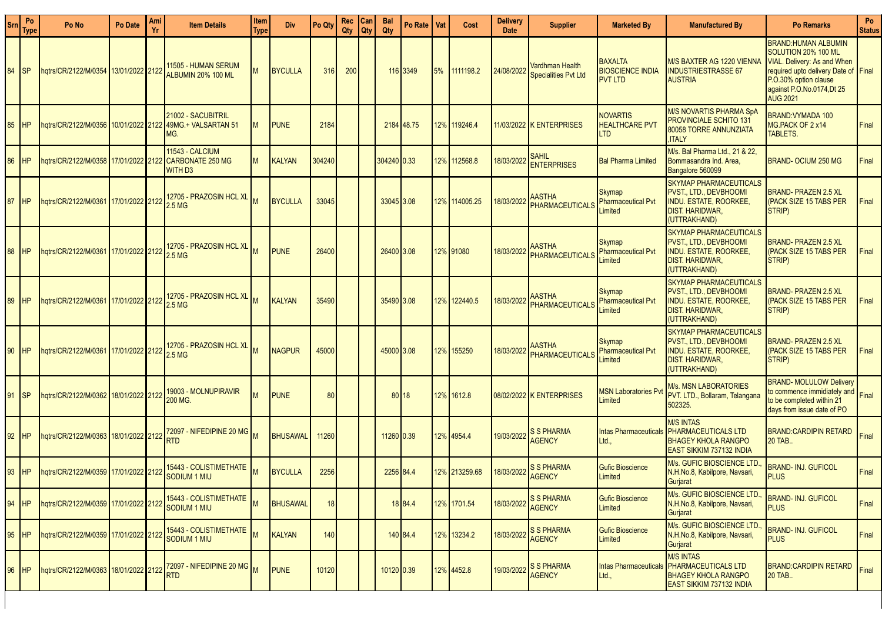| <b>Srn</b> | Po<br>Type | Po No                                    | Po Date         | Ami | <b>Item Details</b>                                                 | <b>Item</b><br>Type | <b>Div</b>      | Po Qty | Rec<br>Qty | Can<br>Qty | Bal<br>Qty  | Po Rate    | Vat | Cost          | <b>Delivery</b><br><b>Date</b> | <b>Supplier</b>                                       | <b>Marketed By</b>                                          | <b>Manufactured By</b>                                                                                                                     | <b>Po Remarks</b>                                                                                                                                                                                        | Po<br><b>Status</b> |
|------------|------------|------------------------------------------|-----------------|-----|---------------------------------------------------------------------|---------------------|-----------------|--------|------------|------------|-------------|------------|-----|---------------|--------------------------------|-------------------------------------------------------|-------------------------------------------------------------|--------------------------------------------------------------------------------------------------------------------------------------------|----------------------------------------------------------------------------------------------------------------------------------------------------------------------------------------------------------|---------------------|
| 84         |            | hqtrs/CR/2122/M/0354 13/01/2022 2122     |                 |     | 11505 - HUMAN SERUM<br>ALBUMIN 20% 100 ML                           | M                   | <b>BYCULLA</b>  | 316    | 200        |            |             | 116 3349   | 5%  | 1111198.2     | 24/08/2022                     | <b>Vardhman Health</b><br><b>Specialities Pvt Ltd</b> | <b>BAXALTA</b><br><b>BIOSCIENCE INDIA</b><br><b>PVT LTD</b> | M/S BAXTER AG 1220 VIENNA<br><b>INDUSTRIESTRASSE 67</b><br><b>AUSTRIA</b>                                                                  | <b>BRAND:HUMAN ALBUMIN</b><br>SOLUTION 20% 100 ML<br><b>VIAL. Delivery: As and When</b><br>required upto delivery Date of Final<br>P.O.30% option clause<br>against P.O.No.0174,Dt 25<br><b>AUG 2021</b> |                     |
| 85         | IHP        | hqtrs/CR/2122/M/0356   10/01/2022   2122 |                 |     | 21002 - SACUBITRIL<br>49MG.+ VALSARTAN 51<br>MG.                    | M                   | <b>PUNE</b>     | 2184   |            |            |             | 2184 48.75 |     | 12% 119246.4  |                                | 11/03/2022 K ENTERPRISES                              | <b>NOVARTIS</b><br><b>HEALTHCARE PVT</b><br><b>LTD</b>      | <b>M/S NOVARTIS PHARMA SpA</b><br><b>PROVINCIALE SCHITO 131</b><br>80058 TORRE ANNUNZIATA<br><b>ITALY</b>                                  | <b>BRAND: VYMADA 100</b><br>MG.PACK OF 2 x14<br>TABLETS.                                                                                                                                                 | Final               |
| 86         | <b>HP</b>  | hqtrs/CR/2122/M/0358 17/01/2022 2122     |                 |     | <b>11543 - CALCIUM</b><br><b>CARBONATE 250 MG</b><br><b>WITH D3</b> | м                   | <b>KALYAN</b>   | 304240 |            |            | 304240 0.33 |            |     | 12% 112568.8  | 18/03/2022                     | <b>SAHIL</b><br><b>ENTERPRISES</b>                    | <b>Bal Pharma Limited</b>                                   | M/s. Bal Pharma Ltd., 21 & 22.<br>Bommasandra Ind. Area,<br>Bangalore 560099                                                               | <b>BRAND-OCIUM 250 MG</b>                                                                                                                                                                                | Final               |
| 87         | <b>IHP</b> | hqtrs/CR/2122/M/0361 17/01/2022 2122     |                 |     | 12705 - PRAZOSIN HCL XL<br>2.5 MG                                   |                     | <b>BYCULLA</b>  | 33045  |            |            | 33045 3.08  |            |     | 12% 114005.25 | 18/03/2022                     | <b>AASTHA</b><br>PHARMACEUTICALS                      | Skymap<br><b>Pharmaceutical Pvt</b><br>Limited              | <b>SKYMAP PHARMACEUTICALS</b><br><b>PVST., LTD., DEVBHOOMI</b><br><b>INDU. ESTATE, ROORKEE,</b><br><b>DIST. HARIDWAR,</b><br>(UTTRAKHAND)  | <b>BRAND-PRAZEN 2.5 XL</b><br>(PACK SIZE 15 TABS PER<br>STRIP)                                                                                                                                           | Final               |
| 88         | <b>IHP</b> | hatrs/CR/2122/M/0361 17/01/2022 2122     |                 |     | 12705 - PRAZOSIN HCL XL<br>2.5 MG                                   |                     | <b>PUNE</b>     | 26400  |            |            | 26400 3.08  |            |     | 12% 91080     | 18/03/2022                     | <b>AASTHA</b><br><b>PHARMACEUTICALS</b>               | Skymap<br><b>Pharmaceutical Pvt</b><br>Limited              | <b>SKYMAP PHARMACEUTICALS</b><br><b>PVST., LTD., DEVBHOOMI</b><br><b>INDU. ESTATE, ROORKEE,</b><br><b>DIST. HARIDWAR,</b><br>(UTTRAKHAND)  | <b>BRAND-PRAZEN 2.5 XL</b><br>(PACK SIZE 15 TABS PER<br>STRIP)                                                                                                                                           | Final               |
| 89         | <b>IHP</b> | hqtrs/CR/2122/M/0361                     | 17/01/2022 2122 |     | 12705 - PRAZOSIN HCL XL M<br>2.5 MG                                 |                     | <b>KALYAN</b>   | 35490  |            |            | 35490 3.08  |            |     | 12% 122440.5  | 18/03/2022                     | <b>AASTHA</b><br>PHARMACEUTICALS                      | Skymap<br><b>Pharmaceutical Pvt</b><br>Limited              | <b>SKYMAP PHARMACEUTICALS</b><br><b>PVST., LTD., DEVBHOOMI</b><br><b>INDU. ESTATE, ROORKEE,</b><br><b>DIST. HARIDWAR,</b><br>(UTTRAKHAND)  | <b>BRAND-PRAZEN 2.5 XL</b><br>(PACK SIZE 15 TABS PER<br>STRIP)                                                                                                                                           | Final               |
| 90         | <b>IHP</b> | hqtrs/CR/2122/M/0361 17/01/2022 2122     |                 |     | 12705 - PRAZOSIN HCL XL M<br>2.5 <sub>MG</sub>                      |                     | <b>NAGPUR</b>   | 45000  |            |            | 45000 3.08  |            |     | 12% 155250    | 18/03/2022                     | <b>AASTHA</b><br><b>PHARMACEUTICALS</b>               | Skymap<br><b>Pharmaceutical Pvt</b><br>Limited              | <b>ISKYMAP PHARMACEUTICALS</b><br><b>PVST., LTD., DEVBHOOMI</b><br><b>INDU. ESTATE, ROORKEE,</b><br><b>DIST. HARIDWAR,</b><br>(UTTRAKHAND) | <b>BRAND-PRAZEN 2.5 XL</b><br>(PACK SIZE 15 TABS PER<br>STRIP)                                                                                                                                           | Final               |
| 91         | ISP        | hqtrs/CR/2122/M/0362 18/01/2022 2122     |                 |     | 19003 - MOLNUPIRAVIR<br>200 MG.                                     |                     | <b>PUNE</b>     | 80     |            |            |             | 80 18      |     | 12% 1612.8    |                                | 08/02/2022 K ENTERPRISES                              | <b>MSN Laboratories Pv</b><br>Limited                       | <b>M/s. MSN LABORATORIES</b><br>PVT. LTD., Bollaram, Telangana<br>502325.                                                                  | <b>BRAND-MOLULOW Delivery</b><br>to commence immidiately and Final<br>to be completed within 21<br>days from issue date of PO                                                                            |                     |
| 92         | <b>IHP</b> | hqtrs/CR/2122/M/0363 18/01/2022 2122     |                 |     | 72097 - NIFEDIPINE 20 MG M<br><b>RTD</b>                            |                     | <b>BHUSAWAL</b> | 11260  |            |            | 11260 0.39  |            |     | 12% 4954.4    | 19/03/2022                     | <b>S S PHARMA</b><br><b>AGENCY</b>                    | <b>Intas Pharmaceuticals</b><br>Ltd.,                       | <b>M/S INTAS</b><br><b>PHARMACEUTICALS LTD</b><br><b>BHAGEY KHOLA RANGPO</b><br><b>EAST SIKKIM 737132 INDIA</b>                            | <b>BRAND:CARDIPIN RETARD</b><br>20 TAB                                                                                                                                                                   | Final               |
| 93         | <b>IHP</b> | hqtrs/CR/2122/M/0359 17/01/2022 2122     |                 |     | <b>15443 - COLISTIMETHATE</b><br>SODIUM 1 MIU                       |                     | <b>BYCULLA</b>  | 2256   |            |            | 2256 84.4   |            |     | 12% 213259.68 | 18/03/2022                     | <b>S S PHARMA</b><br><b>AGENCY</b>                    | <b>Gufic Bioscience</b><br>Limited                          | M/s. GUFIC BIOSCIENCE LTD<br>N.H.No.8, Kabilpore, Navsari,<br>Gurjarat                                                                     | <b>BRAND- INJ. GUFICOL</b><br><b>PLUS</b>                                                                                                                                                                | Final               |
| 94         | <b>HP</b>  | hqtrs/CR/2122/M/0359 17/01/2022 2122     |                 |     | <b>15443 - COLISTIMETHATE</b><br>SODIUM 1 MIU                       | M                   | <b>BHUSAWAL</b> | 18     |            |            |             | 18 84.4    |     | 12% 1701.54   | 18/03/2022                     | <b>S S PHARMA</b><br><b>AGENCY</b>                    | <b>Gufic Bioscience</b><br>Limited                          | <b>M/s. GUFIC BIOSCIENCE LTD</b><br>N.H.No.8, Kabilpore, Navsari,<br>Gurjarat                                                              | <b>BRAND-INJ. GUFICOL</b><br><b>PLUS</b>                                                                                                                                                                 | Final               |
| 95         | <b>HP</b>  | hqtrs/CR/2122/M/0359 17/01/2022 2122     |                 |     | 15443 - COLISTIMETHATE<br>SODIUM 1 MIU                              | M                   | <b>KALYAN</b>   | 140    |            |            |             | 140 84.4   |     | 12% 13234.2   | 18/03/2022                     | <b>S S PHARMA</b><br><b>AGENCY</b>                    | <b>Gufic Bioscience</b><br>Limited                          | M/s. GUFIC BIOSCIENCE LTD<br>N.H.No.8, Kabilpore, Navsari,<br>Gurjarat                                                                     | <b>BRAND- INJ. GUFICOL</b><br><b>PLUS</b>                                                                                                                                                                | Final               |
| 96         | <b>HP</b>  | hqtrs/CR/2122/M/0363 18/01/2022 2122     |                 |     | 72097 - NIFEDIPINE 20 MG M<br><b>RTD</b>                            |                     | <b>PUNE</b>     | 10120  |            |            | 10120 0.39  |            |     | 12% 4452.8    | 19/03/2022                     | <b>S S PHARMA</b><br><b>AGENCY</b>                    | <b>Intas Pharmaceuticals</b><br>Ltd.,                       | <b>M/S INTAS</b><br><b>PHARMACEUTICALS LTD</b><br><b>BHAGEY KHOLA RANGPO</b><br><b>EAST SIKKIM 737132 INDIA</b>                            | BRAND:CARDIPIN RETARD<br>20 TAB                                                                                                                                                                          | Final               |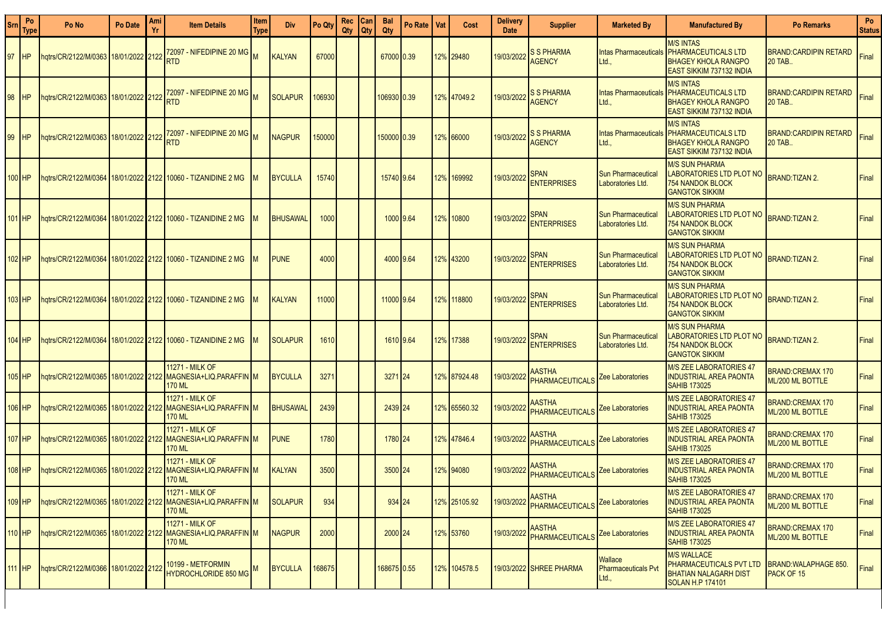| Srn | Po<br>Type | Po No                                     | Po Date | Ami<br>Yı | <b>Item Details</b>                                                                               | Item<br>Type | Div.            | Po Qty | Rec<br>Qty | Can<br><b>Qty</b> | <b>Bal</b><br>Qty | Po Rate | Vat | Cost         | <b>Delivery</b><br><b>Date</b> | <b>Supplier</b>                         | <b>Marketed By</b>                             | <b>Manufactured By</b>                                                                                          | <b>Po Remarks</b>                           | Po<br><b>Status</b> |
|-----|------------|-------------------------------------------|---------|-----------|---------------------------------------------------------------------------------------------------|--------------|-----------------|--------|------------|-------------------|-------------------|---------|-----|--------------|--------------------------------|-----------------------------------------|------------------------------------------------|-----------------------------------------------------------------------------------------------------------------|---------------------------------------------|---------------------|
| 97  | <b>HP</b>  | hqtrs/CR/2122/M/0363 18/01/2022 2122      |         |           | 72097 - NIFEDIPINE 20 MG $\big _{\mathbf{M}}$<br><b>RTD</b>                                       |              | <b>KALYAN</b>   | 67000  |            |                   | 67000 0.39        |         |     | 12% 29480    | 9/03/2022                      | <b>S S PHARMA</b><br><b>AGENCY</b>      | <b>Intas Pharmaceuticals</b><br>Ltd.,          | <b>M/S INTAS</b><br><b>PHARMACEUTICALS LTD</b><br><b>BHAGEY KHOLA RANGPO</b><br><b>EAST SIKKIM 737132 INDIA</b> | <b>BRAND:CARDIPIN RETARD</b><br>20 TAB      | Final               |
| 98  | <b>HP</b>  | hqtrs/CR/2122/M/0363   18/01/2022   2122  |         |           | 72097 - NIFEDIPINE 20 MG<br><b>RTD</b>                                                            |              | <b>SOLAPUR</b>  | 106930 |            |                   | 10693010.39       |         |     | 12% 47049.2  | 9/03/2022                      | <b>S S PHARMA</b><br><b>AGENCY</b>      | <b>Intas Pharmaceuticals</b><br>Ltd.,          | <b>M/S INTAS</b><br><b>PHARMACEUTICALS LTD</b><br><b>BHAGEY KHOLA RANGPO</b><br><b>EAST SIKKIM 737132 INDIA</b> | BRAND:CARDIPIN RETARD<br>20 TAB             | Final               |
| 99  | IHP        | hgtrs/CR/2122/M/0363 18/01/2022 2122      |         |           | 72097 - NIFEDIPINE 20 MG $\vert_{\rm M}$<br><b>RTD</b>                                            |              | <b>NAGPUR</b>   | 150000 |            |                   | 15000010.39       |         |     | 12% 66000    | 19/03/2022                     | <b>S S PHARMA</b><br><b>AGENCY</b>      | <b>Intas Pharmaceuticals</b><br>Ltd.,          | <b>M/S INTAS</b><br><b>PHARMACEUTICALS LTD</b><br><b>BHAGEY KHOLA RANGPO</b><br><b>EAST SIKKIM 737132 INDIA</b> | BRAND:CARDIPIN RETARD<br>20 TAB             | Final               |
|     | 100 HP     |                                           |         |           | ngtrs/CR/2122/M/0364   18/01/2022   2122   10060 - TIZANIDINE 2 MG                                |              | <b>BYCULLA</b>  | 15740  |            |                   | 15740 9.64        |         |     | 12% 169992   | 19/03/2022                     | <b>SPAN</b><br><b>ENTERPRISES</b>       | <b>Sun Pharmaceutical</b><br>Laboratories Ltd. | <b>M/S SUN PHARMA</b><br><b>LABORATORIES LTD PLOT NO</b><br><b>754 NANDOK BLOCK</b><br><b>GANGTOK SIKKIM</b>    | <b>BRAND:TIZAN 2.</b>                       | Final               |
| 101 | IHP        |                                           |         |           | ngtrs/CR/2122/M/0364   18/01/2022   2122   10060 - TIZANIDINE 2 MG                                |              | <b>BHUSAWAL</b> | 1000   |            |                   | 1000 9.64         |         |     | 12% 10800    | 19/03/2022                     | <b>SPAN</b><br><b>ENTERPRISES</b>       | <b>Sun Pharmaceutical</b><br>Laboratories Ltd. | <b>M/S SUN PHARMA</b><br>LABORATORIES LTD PLOT NO<br><b>754 NANDOK BLOCK</b><br><b>GANGTOK SIKKIM</b>           | <b>BRAND:TIZAN 2.</b>                       | Final               |
|     | 102 HP     |                                           |         |           | ngtrs/CR/2122/M/0364   18/01/2022   2122   10060 - TIZANIDINE 2 MG                                |              | <b>PUNE</b>     | 4000   |            |                   | 4000 9.64         |         |     | 12% 43200    | 19/03/2022                     | <b>SPAN</b><br><b>ENTERPRISES</b>       | <b>Sun Pharmaceutical</b><br>Laboratories Ltd. | <b>M/S SUN PHARMA</b><br><b>LABORATORIES LTD PLOT NO</b><br><b>754 NANDOK BLOCK</b><br><b>GANGTOK SIKKIM</b>    | <b>BRAND:TIZAN 2.</b>                       | Final               |
|     | 103 HP     |                                           |         |           | hqtrs/CR/2122/M/0364   18/01/2022   2122   10060 - TIZANIDINE 2 MG                                |              | KALYAN          | 11000  |            |                   | 11000 9.64        |         |     | 12% 118800   | 19/03/2022                     | <b>SPAN</b><br><b>ENTERPRISES</b>       | Sun Pharmaceutical<br>Laboratories Ltd.        | <b>M/S SUN PHARMA</b><br>LABORATORIES LTD PLOT NO<br>754 NANDOK BLOCK<br><b>GANGTOK SIKKIM</b>                  | <b>BRAND:TIZAN 2.</b>                       | Final               |
|     | 104 HP     |                                           |         |           | ngtrs/CR/2122/M/0364   18/01/2022   2122   10060 - TIZANIDINE 2 MG                                |              | <b>SOLAPUR</b>  | 1610   |            |                   | 1610 9.64         |         |     | 12% 17388    | 19/03/2022                     | <b>SPAN</b><br><b>ENTERPRISES</b>       | <b>Sun Pharmaceutical</b><br>Laboratories Ltd. | <b>M/S SUN PHARMA</b><br>LABORATORIES LTD PLOT NO<br><b>754 NANDOK BLOCK</b><br><b>GANGTOK SIKKIM</b>           | <b>BRAND:TIZAN 2.</b>                       | Final               |
|     | 105 HP     |                                           |         |           | 11271 - MILK OF<br>hqtrs/CR/2122/M/0365   18/01/2022   2122   MAGNESIA+LIQ.PARAFFIN   M<br>170 ML |              | <b>BYCULLA</b>  | 3271   |            |                   | 3271 24           |         |     | 12% 87924.48 | 19/03/2022                     | <b>AASTHA</b><br>PHARMACEUTICALS        | Zee Laboratories                               | <b>M/S ZEE LABORATORIES 47</b><br><b>INDUSTRIAL AREA PAONTA</b><br><b>SAHIB 173025</b>                          | <b>BRAND:CREMAX 170</b><br>ML/200 ML BOTTLE | Final               |
|     | 106 HP     | hqtrs/CR/2122/M/0365   18/01/2022   2122  |         |           | 11271 - MILK OF<br>MAGNESIA+LIQ.PARAFFIN M<br>170 ML                                              |              | <b>BHUSAWAL</b> | 2439   |            |                   | 2439 24           |         |     | 12% 65560.32 | 9/03/2022                      | <b>AASTHA</b><br><b>PHARMACEUTICALS</b> | Zee Laboratories                               | <b>M/S ZEE LABORATORIES 47</b><br><b>INDUSTRIAL AREA PAONTA</b><br><b>SAHIB 173025</b>                          | BRAND:CREMAX 170<br>ML/200 ML BOTTLE        | Final               |
|     | 107 HP     | 18/01/2022 12122 14/0365 12/01/2022 12122 |         |           | 11271 - MILK OF<br>MAGNESIA+LIQ.PARAFFIN M<br><b>170 ML</b>                                       |              | <b>PUNE</b>     | 1780   |            |                   | 1780 24           |         |     | 12% 47846.4  | 9/03/2022                      | <b>AASTHA</b><br>PHARMACEUTICALS        | Zee Laboratories                               | <b>M/S ZEE LABORATORIES 47</b><br><b>INDUSTRIAL AREA PAONTA</b><br><b>SAHIB 173025</b>                          | <b>BRAND:CREMAX 170</b><br>ML/200 ML BOTTLE | Final               |
|     | 108 HP     | hqtrs/CR/2122/M/0365 18/01/2022 2122      |         |           | 11271 - MILK OF<br>MAGNESIA+LIQ.PARAFFIN M<br>170 ML                                              |              | KALYAN          | 3500   |            |                   | 3500 24           |         |     | 12% 94080    | 19/03/2022                     | AASTHA<br><b>PHARMACEUTICALS</b>        | Zee Laboratories                               | <b>M/S ZEE LABORATORIES 47</b><br><b>INDUSTRIAL AREA PAONTA</b><br><b>SAHIB 173025</b>                          | BRAND:CREMAX 170<br>ML/200 ML BOTTLE        | Final               |
|     | 109 HP     | hqtrs/CR/2122/M/0365   18/01/2022   2122  |         |           | <b>11271 - MILK OF</b><br>MAGNESIA+LIQ.PARAFFIN M<br>170 ML                                       |              | <b>SOLAPUR</b>  | 934    |            |                   | $934$ 24          |         |     | 12% 25105.92 | 19/03/2022                     | <b>AASTHA</b><br>PHARMACEUTICALS        | Zee Laboratories                               | <b>M/S ZEE LABORATORIES 47</b><br><b>INDUSTRIAL AREA PAONTA</b><br><b>SAHIB 173025</b>                          | <b>BRAND:CREMAX 170</b><br>ML/200 ML BOTTLE | Final               |
|     | 110 HP     | hqtrs/CR/2122/M/0365 18/01/2022 2122      |         |           | 11271 - MILK OF<br>MAGNESIA+LIQ.PARAFFIN M<br><b>170 ML</b>                                       |              | <b>NAGPUR</b>   | 2000   |            |                   | 2000 24           |         |     | 12% 53760    | 19/03/2022                     | <b>AASTHA</b><br>PHARMACEUTICALS        | Zee Laboratories                               | <b>M/S ZEE LABORATORIES 47</b><br><b>INDUSTRIAL AREA PAONTA</b><br><b>SAHIB 173025</b>                          | BRAND:CREMAX 170<br>ML/200 ML BOTTLE        | Final               |
|     | 111 HP     | hqtrs/CR/2122/M/0366 18/01/2022 2122      |         |           | 10199 - METFORMIN<br><b>HYDROCHLORIDE 850 MG</b>                                                  |              | <b>BYCULLA</b>  | 168675 |            |                   | 168675 0.55       |         |     | 12% 104578.5 |                                | 19/03/2022 SHREE PHARMA                 | Wallace<br><b>Pharmaceuticals Pvt</b><br>Ltd., | <b>M/S WALLACE</b><br>PHARMACEUTICALS PVT LTD<br><b>BHATIAN NALAGARH DIST</b><br><b>SOLAN H.P 174101</b>        | <b>BRAND:WALAPHAGE 850.</b><br>PACK OF 15   | Final               |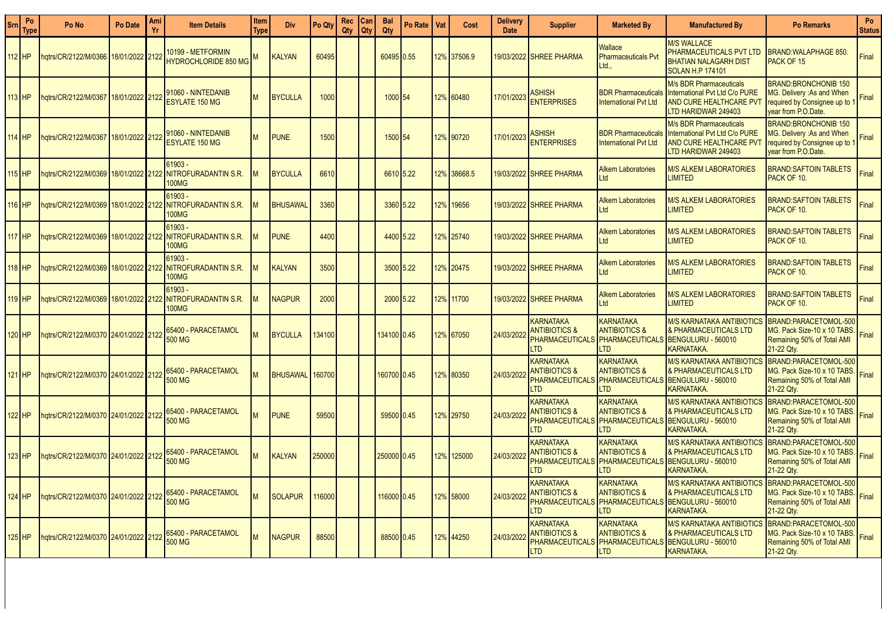| Srn | Po<br><b>Type</b> | Po No                                               | Po Date         | Ami<br>Yr | <b>Item Details</b>                                                                   | <b>Item</b><br>Type | <b>Div</b>      | Po Qty | Rec<br>Qty | Can<br>Qty | <b>Bal</b><br>Qty | Po Rate | Vat | Cost        | <b>Delivery</b><br><b>Date</b> | <b>Supplier</b>                                                                      | <b>Marketed By</b>                                                                       | <b>Manufactured By</b>                                                                                       | <b>Po Remarks</b>                                                                                               | Po<br><b>Status</b> |
|-----|-------------------|-----------------------------------------------------|-----------------|-----------|---------------------------------------------------------------------------------------|---------------------|-----------------|--------|------------|------------|-------------------|---------|-----|-------------|--------------------------------|--------------------------------------------------------------------------------------|------------------------------------------------------------------------------------------|--------------------------------------------------------------------------------------------------------------|-----------------------------------------------------------------------------------------------------------------|---------------------|
|     | 112 HP            | hatrs/CR/2122/M/0366                                | 18/01/2022 2122 |           | <u> 10199 - METFORMIN</u><br><b>HYDROCHLORIDE 850 MG</b>                              |                     | <b>KALYAN</b>   | 60495  |            |            | 60495 0.55        |         |     | 12% 37506.9 |                                | 19/03/2022 SHREE PHARMA                                                              | <b>Nallace</b><br><b>Pharmaceuticals Pvt</b><br>Ltd.,                                    | <b>M/S WALLACE</b><br>PHARMACEUTICALS PVT LTD<br><b>BHATIAN NALAGARH DIST</b><br><b>SOLAN H.P 174101</b>     | <b>BRAND:WALAPHAGE 850.</b><br><b>PACK OF 15</b>                                                                | Final               |
|     | 113 HP            | hqtrs/CR/2122/M/0367                                | 18/01/2022 2122 |           | 91060 - NINTEDANIB<br><b>ESYLATE 150 MG</b>                                           | M                   | <b>BYCULLA</b>  | 1000   |            |            | 1000 54           |         |     | 12% 60480   | 17/01/2023                     | <b>ASHISH</b><br><b>ENTERPRISES</b>                                                  | <b>BDR Pharmaceuticals</b><br><b>International Pvt Ltd</b>                               | M/s BDR Pharmaceuticals<br>International Pvt Ltd C/o PURE<br>AND CURE HEALTHCARE PVT<br>LTD HARIDWAR 249403  | <b>BRAND:BRONCHONIB 150</b><br>MG. Delivery : As and When<br>required by Consignee up to<br>year from P.O.Date  | Final               |
|     | 114 HP            | 1atrs/CR/2122/M/036                                 | 18/01/2022 2122 |           | 91060 - NINTEDANIB<br><b>ESYLATE 150 MG</b>                                           | M                   | <b>PUNE</b>     | 1500   |            |            | 1500 54           |         |     | 12% 90720   | 17/01/2023                     | ASHISH<br><b>ENTERPRISES</b>                                                         | <b>BDR Pharmaceuticals</b><br><b>International Pvt Ltd</b>                               | M/s BDR Pharmaceuticals<br>International Pvt Ltd C/o PURE<br>AND CURE HEALTHCARE PV<br>LTD HARIDWAR 249403   | <b>BRAND:BRONCHONIB 150</b><br>MG. Delivery : As and When<br>required by Consignee up to<br>vear from P.O.Date. | Final               |
|     | 115 HP            | ngtrs/CR/2122/M/0369 18/01/2022 2122                |                 |           | 61903 -<br>NITROFURADANTIN S.R.<br>100MG                                              |                     | <b>BYCULLA</b>  | 6610   |            |            | 6610 5.22         |         |     | 12% 38668.5 |                                | 19/03/2022 ISHREE PHARMA                                                             | <b>Alkem Laboratories</b><br>_td                                                         | <b>M/S ALKEM LABORATORIES</b><br><b>LIMITED</b>                                                              | BRAND:SAFTOIN TABLETS<br>PACK OF 10.                                                                            | Final               |
|     | 16 HP             |                                                     |                 |           | 61903 -<br>100MG                                                                      |                     | BHUSAWAL        | 3360   |            |            | 3360 5.22         |         |     | 12% 19656   |                                | 19/03/2022 SHREE PHARMA                                                              | <b>Alkem Laboratories</b><br>Ltd                                                         | <b>M/S ALKEM LABORATORIES</b><br><b>IMITED</b>                                                               | <b>BRAND:SAFTOIN TABLETS</b><br>PACK OF 10.                                                                     | Final               |
|     | 17 HP             | ngtrs/CR/2122/M/0369                                | 18/01/2022 2122 |           | 61903 -<br><b>NITROFURADANTIN S.R.</b><br>100MG                                       |                     | <b>PUNE</b>     | 4400   |            |            | 4400 5.22         |         |     | 12% 25740   |                                | 19/03/2022 ISHREE PHARMA                                                             | Alkem Laboratories<br>Ltd                                                                | <b>M/S ALKEM LABORATORIES</b><br><b>IMITED</b>                                                               | <b>BRAND:SAFTOIN TABLETS</b><br>PACK OF 10.                                                                     | Final               |
|     | 18 HP             | ngtrs/CR/2122/M/0369 18/01/2022 2122                |                 |           | 61903 -<br><b>NITROFURADANTIN S.R.</b><br>100MG                                       |                     | KALYAN          | 3500   |            |            | 3500 5.22         |         |     | 12% 20475   |                                | 19/03/2022 SHREE PHARMA                                                              | <b>Alkem Laboratories</b><br>_td                                                         | <b>M/S ALKEM LABORATORIES</b><br><b>LIMITED</b>                                                              | <b>BRAND:SAFTOIN TABLETS</b><br>PACK OF 10.                                                                     | Final               |
|     | 119 HP            |                                                     |                 |           | $61903 -$<br>hqtrs/CR/2122/M/0369   18/01/2022   2122   NITROFURADANTIN S.R.<br>100MG |                     | <b>NAGPUR</b>   | 2000   |            |            | 2000 5.22         |         |     | 12% 11700   |                                | 19/03/2022 SHREE PHARMA                                                              | <b>Alkem Laboratories</b><br>Ltd                                                         | <b>M/S ALKEM LABORATORIES</b><br><b>LIMITED</b>                                                              | <b>BRAND:SAFTOIN TABLETS</b><br>PACK OF 10.                                                                     | Final               |
|     | 20 HP             | <mark>2122   122/01/0370   24/01/2022   2122</mark> |                 |           | 65400 - PARACETAMOL<br>500 MG                                                         | M.                  | <b>BYCULLA</b>  | 134100 |            |            | 134100 0.45       |         |     | 12% 67050   | 24/03/2022                     | <b>KARNATAKA</b><br><b>ANTIBIOTICS &amp;</b><br><b>PHARMACEUTICALS</b><br><b>LTD</b> | <b>KARNATAKA</b><br><b>ANTIBIOTICS &amp;</b><br>PHARMACEUTICALS<br>LTD                   | M/S KARNATAKA ANTIBIOTICS<br>& PHARMACEUTICALS LTD<br>BENGULURU - 560010<br><b>KARNATAKA</b>                 | BRAND:PARACETOMOL-500<br>MG. Pack Size-10 x 10 TABS.<br>Remaining 50% of Total AMI<br>21-22 Qtv.                | Final               |
|     | 121 HP            | ngtrs/CR/2122/M/0370 24/01/2022 2122                |                 |           | 65400 - PARACETAMOL<br><b>500 MG</b>                                                  |                     | <b>BHUSAWAL</b> | 160700 |            |            | 160700 0.45       |         |     | 12% 80350   | 24/03/2022                     | <b>KARNATAKA</b><br><b>ANTIBIOTICS &amp;</b><br><b>PHARMACEUTICALS</b><br><b>LTD</b> | <b>KARNATAKA</b><br><b>ANTIBIOTICS &amp;</b><br>PHARMACEUTICALS<br>T <sub>D</sub>        | M/S KARNATAKA ANTIBIOTIC<br><b>&amp; PHARMACEUTICALS LTD</b><br>BENGULURU - 560010<br><b>KARNATAKA</b>       | BRAND:PARACETOMOL-500<br>MG. Pack Size-10 x 10 TABS.<br>Remaining 50% of Total AMI<br>21-22 Qty.                | Final               |
|     | 22 HP             | hqtrs/CR/2122/M/0370 24/01/2022 2122                |                 |           | 65400 - PARACETAMOL<br>500 MG                                                         |                     | <b>PUNE</b>     | 59500  |            |            | 59500 0.45        |         |     | 12% 29750   | 24/03/2022                     | <b>KARNATAKA</b><br><b>ANTIBIOTICS &amp;</b><br><b>PHARMACEUTICALS</b><br><b>LTD</b> | <b>KARNATAKA</b><br><b>ANTIBIOTICS &amp;</b><br>PHARMACEUTICALS<br><b>LTD</b>            | M/S KARNATAKA ANTIBIOTIC<br><b>&amp; PHARMACEUTICALS LTD</b><br>BENGULURU - 560010<br><b>KARNATAKA</b>       | BRAND:PARACETOMOL-500<br>MG. Pack Size-10 x 10 TABS.<br>Remaining 50% of Total AMI<br>21-22 Qty.                | Final               |
|     | 123 HP            | hqtrs/CR/2122/M/0370 24/01/2022 2122                |                 |           | 65400 - PARACETAMOL<br><b>500 MG</b>                                                  |                     | KALYAN          | 250000 |            |            | 250000 0.45       |         |     | 12% 125000  | 24/03/2022                     | <b>KARNATAKA</b><br><b>ANTIBIOTICS &amp;</b><br><b>PHARMACEUTICALS</b><br>LTD        | <b>KARNATAKA</b><br><b>ANTIBIOTICS &amp;</b><br><b>PHARMACEUTICALS</b><br>T <sub>D</sub> | M/S KARNATAKA ANTIBIOTIC<br>& PHARMACEUTICALS LTD<br>BENGULURU - 560010<br>KARNATAKA.                        | BRAND:PARACETOMOL-500<br>MG. Pack Size-10 x 10 TABS.<br>Remaining 50% of Total AMI<br>21-22 Qty.                | Final               |
|     | 124 HP            | hqtrs/CR/2122/M/0370 24/01/2022 2122                |                 |           | 65400 - PARACETAMOL<br>500 MG                                                         |                     | <b>SOLAPUR</b>  | 16000  |            |            | 116000 0.45       |         |     | 12% 58000   | 24/03/202                      | <b>KARNATAKA</b><br><b>ANTIBIOTICS &amp;</b><br><b>PHARMACEUTICALS</b><br><b>LTD</b> | <b>KARNATAKA</b><br><b>ANTIBIOTICS &amp;</b><br>T <sub>D</sub>                           | M/S KARNATAKA ANTIBIOTIC<br>& PHARMACEUTICALS LTD<br>PHARMACEUTICALS BENGULURU - 560010<br><b>KARNATAKA.</b> | BRAND:PARACETOMOL-500<br>MG. Pack Size-10 x 10 TABS.<br>Remaining 50% of Total AMI<br>21-22 Qtv.                | Final               |
|     | 125 HP            | 12122/1222/M/0370 24/01/2022 2122                   |                 |           | 65400 - PARACETAMOL<br><b>500 MG</b>                                                  |                     | <b>NAGPUR</b>   | 88500  |            |            | 88500 0.45        |         |     | 12% 44250   | 24/03/2022                     | <b>KARNATAKA</b><br><b>ANTIBIOTICS &amp;</b><br><b>PHARMACEUTICALS</b><br><b>LTD</b> | <b>KARNATAKA</b><br><b>ANTIBIOTICS &amp;</b><br><b>PHARMACEUTICALS</b><br><b>LTD</b>     | M/S KARNATAKA ANTIBIOTIC<br>& PHARMACEUTICALS LTD<br>BENGULURU - 560010<br><b>KARNATAKA.</b>                 | BRAND:PARACETOMOL-500<br>MG. Pack Size-10 x 10 TABS.<br>Remaining 50% of Total AMI<br>21-22 Qty.                | Final               |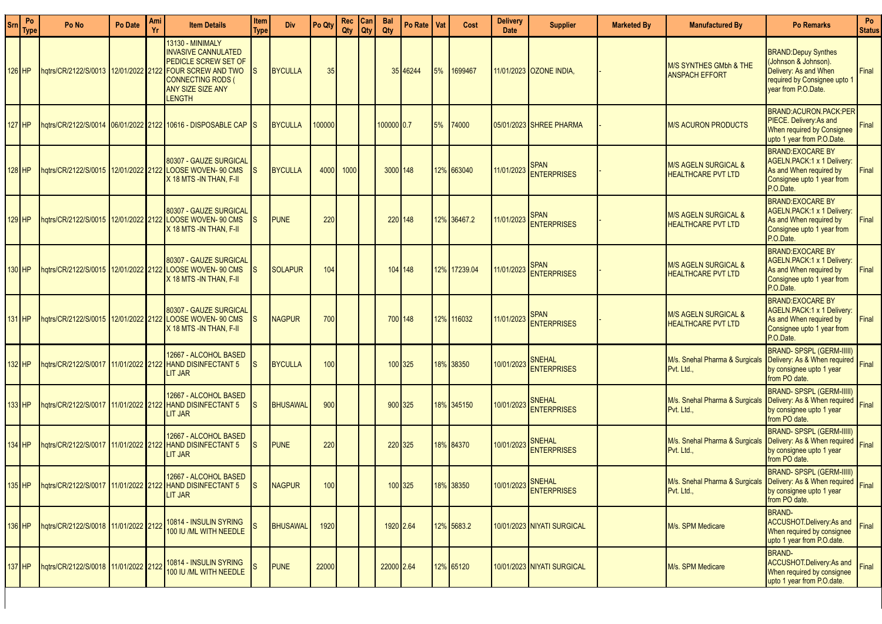| Srn | Po<br><b>Type</b> | Po No                                    | Po Date | Ami<br>Yr | <b>Item Details</b>                                                                                                                                                          | Item<br>Type | <b>Div</b>      | Po Qty | Rec   Can<br>Qty | <b>Qty</b> | <b>Bal</b><br>Qty | Po Rate I Vat |    | Cost         | <b>Delivery</b><br><b>Date</b> | <b>Supplier</b>                     | <b>Marketed Bv</b> | <b>Manufactured By</b>                                                          | <b>Po Remarks</b>                                                                                                                  | Po<br><b>Status</b> |
|-----|-------------------|------------------------------------------|---------|-----------|------------------------------------------------------------------------------------------------------------------------------------------------------------------------------|--------------|-----------------|--------|------------------|------------|-------------------|---------------|----|--------------|--------------------------------|-------------------------------------|--------------------|---------------------------------------------------------------------------------|------------------------------------------------------------------------------------------------------------------------------------|---------------------|
|     | 126 HP            | hqtrs/CR/2122/S/0013 12/01/2022 2122     |         |           | 13130 - MINIMALY<br><b>INVASIVE CANNULATED</b><br><b>PEDICLE SCREW SET OF</b><br><b>FOUR SCREW AND TWO</b><br><b>CONNECTING RODS (</b><br>ANY SIZE SIZE ANY<br><b>LENGTH</b> |              | <b>BYCULLA</b>  | 35     |                  |            |                   | 35 46244      | 5% | 1699467      |                                | 11/01/2023 OZONE INDIA,             |                    | M/S SYNTHES GMbh & THE<br><b>ANSPACH EFFORT</b>                                 | <b>BRAND:Depuy Synthes</b><br>(Johnson & Johnson).<br>Delivery: As and When<br>required by Consignee upto 1<br>year from P.O.Date. | Final               |
|     | 127 HP            |                                          |         |           | hqtrs/CR/2122/S/0014 06/01/2022 2122 10616 - DISPOSABLE CAP S                                                                                                                |              | <b>BYCULLA</b>  | 100000 |                  |            | 100000 0.7        |               | 5% | 74000        |                                | 05/01/2023 SHREE PHARMA             |                    | <b>M/S ACURON PRODUCTS</b>                                                      | <b>BRAND:ACURON.PACK:PER</b><br>PIECE. Delivery: As and<br>When required by Consignee<br>upto 1 year from P.O.Date.                | Final               |
|     | 128 HP            |                                          |         |           | 80307 - GAUZE SURGICAL<br>hqtrs/CR/2122/S/0015 12/01/2022 2122 LOOSE WOVEN- 90 CMS<br>X 18 MTS -IN THAN, F-II                                                                |              | <b>BYCULLA</b>  | 4000   | 1000             |            | 3000 148          |               |    | 12% 663040   | 11/01/2023                     | <b>SPAN</b><br><b>ENTERPRISES</b>   |                    | <b>M/S AGELN SURGICAL &amp;</b><br><b>HEALTHCARE PVT LTD</b>                    | <b>BRAND:EXOCARE BY</b><br>AGELN.PACK:1 x 1 Delivery:<br>As and When required by<br>Consignee upto 1 year from<br>P.O.Date.        | Final               |
|     | 129 HP            |                                          |         |           | 80307 - GAUZE SURGICAL<br>hqtrs/CR/2122/S/0015 12/01/2022 2122 LOOSE WOVEN- 90 CMS<br>X 18 MTS -IN THAN, F-II                                                                |              | <b>PUNE</b>     | 220    |                  |            |                   | 220 148       |    | 12% 36467.2  | 11/01/2023                     | SPAN<br>ENTERPRISES                 |                    | M/S AGELN SURGICAL &<br><b>HEALTHCARE PVT LTD</b>                               | <b>BRAND:EXOCARE BY</b><br>AGELN.PACK:1 x 1 Delivery:<br>As and When required by<br>Consignee upto 1 year from<br>P.O.Date.        | Final               |
|     | 130 HP            |                                          |         |           | 80307 - GAUZE SURGICAL<br>hqtrs/CR/2122/S/0015 12/01/2022 2122 LOOSE WOVEN- 90 CMS<br>X 18 MTS -IN THAN, F-II                                                                |              | <b>SOLAPUR</b>  | 104    |                  |            |                   | 104 148       |    | 12% 17239.04 | 11/01/2023                     | <b>SPAN</b><br><b>ENTERPRISES</b>   |                    | <b>M/S AGELN SURGICAL &amp;</b><br><b>HEALTHCARE PVT LTD</b>                    | <b>BRAND:EXOCARE BY</b><br>AGELN.PACK:1 x 1 Delivery:<br>As and When required by<br>Consignee upto 1 year from<br>P.O.Date.        | Final               |
|     | 131 HP            |                                          |         |           | 80307 - GAUZE SURGICAL<br>hqtrs/CR/2122/S/0015 12/01/2022 2122 LOOSE WOVEN- 90 CMS<br>X 18 MTS -IN THAN, F-II                                                                |              | <b>NAGPUR</b>   | 700    |                  |            |                   | 700 148       |    | 12% 116032   | 11/01/2023                     | <b>SPAN</b><br><b>ENTERPRISES</b>   |                    | <b>M/S AGELN SURGICAL &amp;</b><br>HEALTHCARE PVT LTD                           | <b>BRAND:EXOCARE BY</b><br>AGELN.PACK:1 x 1 Delivery:<br>As and When required by<br>Consignee upto 1 year from<br>P.O.Date.        | Final               |
|     | 132 HP            | hqtrs/CR/2122/S/0017   11/01/2022   2122 |         |           | 12667 - ALCOHOL BASED<br><b>HAND DISINFECTANT 5</b><br>LIT JAR                                                                                                               | IS.          | <b>BYCULLA</b>  | 100    |                  |            |                   | 100 325       |    | 18% 38350    | 10/01/2023                     | SNEHAL<br><b>ENTERPRISES</b>        |                    | M/s. Snehal Pharma & Surgicals<br>Pvt. Ltd.,                                    | BRAND-SPSPL (GERM-IIIII)<br>Delivery: As & When required Final<br>by consignee upto 1 year<br>from PO date.                        |                     |
|     | 133 HP            |                                          |         |           | 12667 - ALCOHOL BASED<br>hqtrs/CR/2122/S/0017 11/01/2022 2122 HAND DISINFECTANT 5<br><b>LIT JAR</b>                                                                          | IS           | <b>BHUSAWAL</b> | 900    |                  |            |                   | 900 325       |    | 18% 345150   | 10/01/2023                     | <b>SNEHAL</b><br><b>ENTERPRISES</b> |                    | M/s. Snehal Pharma & Surgicals<br>Pvt. Ltd.,                                    | <b>BRAND-SPSPL (GERM-IIIII)</b><br>Delivery: As & When required<br>by consignee upto 1 year<br>from PO date.                       | Final               |
|     | 134 HP            | hqtrs/CR/2122/S/0017 11/01/2022 2122     |         |           | 12667 - ALCOHOL BASED<br><b>HAND DISINFECTANT 5</b><br>LIT JAR                                                                                                               | IS.          | <b>PUNE</b>     | 220    |                  |            |                   | 220 325       |    | 18% 84370    | 10/01/2023                     | <b>SNEHAL</b><br><b>ENTERPRISES</b> |                    | M/s. Snehal Pharma & Surgical<br>Pvt. Ltd.,                                     | <b>BRAND-SPSPL (GERM-IIIII)</b><br>Delivery: As & When required Final<br>by consignee upto 1 year<br>from PO date.                 |                     |
|     | $135$ HP          |                                          |         |           | 12667 - ALCOHOL BASED<br>hqtrs/CR/2122/S/0017 11/01/2022 2122 HAND DISINFECTANT 5<br>LIT JAR                                                                                 |              | NAGPUR          | 100    |                  |            |                   | 100 325       |    | 18% 38350    |                                | 10/01/2023 SNEHAL<br>ENTERPRISES    |                    | M/s. Snehal Pharma & Surgicals Delivery: As & When required Final<br>Pvt. Ltd., | <b>BRAND-SPSPL (GERM-IIIII)</b><br>by consignee upto 1 year<br>from PO date.                                                       |                     |
|     | 136 HP            | hqtrs/CR/2122/S/0018 11/01/2022 2122     |         |           | 10814 - INSULIN SYRING<br>100 IU /ML WITH NEEDLE                                                                                                                             |              | <b>BHUSAWAL</b> | 1920   |                  |            |                   | 1920 2.64     |    | 12% 5683.2   |                                | 10/01/2023 NIYATI SURGICAL          |                    | M/s. SPM Medicare                                                               | <b>BRAND-</b><br>ACCUSHOT.Delivery:As and<br>When required by consignee<br>upto 1 year from P.O.date.                              | Final               |
|     | 137 HP            | hqtrs/CR/2122/S/0018 11/01/2022 2122     |         |           | 10814 - INSULIN SYRING<br>100 IU /ML WITH NEEDLE                                                                                                                             |              | <b>PUNE</b>     | 22000  |                  |            | 22000 2.64        |               |    | 12% 65120    |                                | 10/01/2023 NIYATI SURGICAL          |                    | M/s. SPM Medicare                                                               | BRAND-<br>ACCUSHOT.Delivery:As and<br>When required by consignee<br>upto 1 year from P.O.date.                                     | Final               |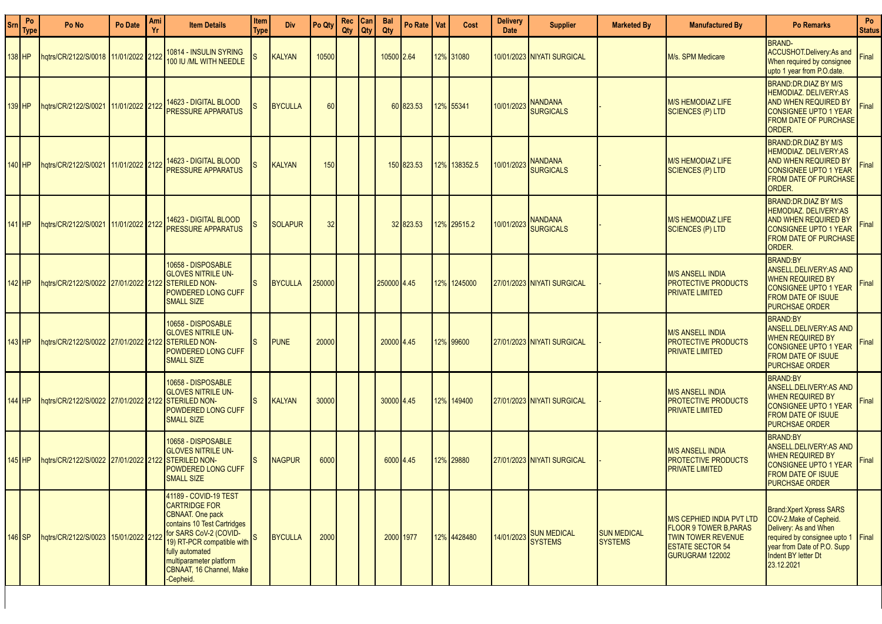| <b>Srn</b> | Po<br>Type | Po No                                | Po Date         | Ami | <b>Item Details</b>                                                                                                                                                                                                                                                             | Item<br>Type | <b>Div</b>     | Po Qty | Rec<br>Qty | Can<br><b>Qty</b> | <b>Bal</b><br>Qty | Po Rate I  | Vat | Cost         | <b>Delivery</b><br><b>Date</b> | <b>Supplier</b>                          | <b>Marketed By</b>                   | <b>Manufactured By</b>                                                                                                                      | <b>Po Remarks</b>                                                                                                                                                                       | Po<br><b>Status</b> |
|------------|------------|--------------------------------------|-----------------|-----|---------------------------------------------------------------------------------------------------------------------------------------------------------------------------------------------------------------------------------------------------------------------------------|--------------|----------------|--------|------------|-------------------|-------------------|------------|-----|--------------|--------------------------------|------------------------------------------|--------------------------------------|---------------------------------------------------------------------------------------------------------------------------------------------|-----------------------------------------------------------------------------------------------------------------------------------------------------------------------------------------|---------------------|
|            | 138 HP     | hqtrs/CR/2122/S/0018 11/01/2022 2122 |                 |     | 10814 - INSULIN SYRING<br>100 IU /ML WITH NEEDLE                                                                                                                                                                                                                                |              | <b>KALYAN</b>  | 10500  |            |                   | 10500 2.64        |            |     | 12% 31080    |                                | 10/01/2023   NIYATI SURGICAL             |                                      | M/s. SPM Medicare                                                                                                                           | <b>BRAND-</b><br>ACCUSHOT.Delivery:As and<br>When required by consignee<br>upto 1 year from P.O.date.                                                                                   | Final               |
|            | $139$ HP   | hqtrs/CR/2122/S/0021 11/01/2022 2122 |                 |     | 14623 - DIGITAL BLOOD<br><b>PRESSURE APPARATUS</b>                                                                                                                                                                                                                              |              | <b>BYCULLA</b> | 60     |            |                   |                   | 60 823.53  |     | 12% 55341    | 10/01/2023                     | <b>NANDANA</b><br><b>SURGICALS</b>       |                                      | <b>M/S HEMODIAZ LIFE</b><br><b>SCIENCES (P) LTD</b>                                                                                         | BRAND:DR.DIAZ BY M/S<br><b>HEMODIAZ, DELIVERY:AS</b><br><b>AND WHEN REQUIRED BY</b><br><b>CONSIGNEE UPTO 1 YEAR</b><br><b>FROM DATE OF PURCHASE</b><br>ORDER.                           | Final               |
|            | $140$ HP   | hqtrs/CR/2122/S/0021                 | 11/01/2022 2122 |     | 14623 - DIGITAL BLOOD<br><b>PRESSURE APPARATUS</b>                                                                                                                                                                                                                              |              | <b>KALYAN</b>  | 150    |            |                   |                   | 150 823.53 |     | 12% 138352.5 | 10/01/2023                     | <b>NANDANA</b><br><b>SURGICALS</b>       |                                      | <b>M/S HEMODIAZ LIFE</b><br><b>SCIENCES (P) LTD</b>                                                                                         | <b>BRAND:DR.DIAZ BY M/S</b><br><b>HEMODIAZ. DELIVERY:AS</b><br>AND WHEN REQUIRED BY<br><b>CONSIGNEE UPTO 1 YEAR</b><br><b>FROM DATE OF PURCHASE</b><br>ORDER.                           | Final               |
|            | $141$ HP   | hqtrs/CR/2122/S/0021 11/01/2022 2122 |                 |     | 14623 - DIGITAL BLOOD<br><b>PRESSURE APPARATUS</b>                                                                                                                                                                                                                              |              | <b>SOLAPUR</b> | 32     |            |                   |                   | 32 823.53  |     | 12% 29515.2  | 10/01/2023                     | <b>NANDANA</b><br><b>SURGICALS</b>       |                                      | <b>M/S HEMODIAZ LIFE</b><br>SCIENCES (P) LTD                                                                                                | <b>BRAND:DR.DIAZ BY M/S</b><br>HEMODIAZ. DELIVERY:AS<br>AND WHEN REQUIRED BY<br><b>CONSIGNEE UPTO 1 YEAR</b><br><b>FROM DATE OF PURCHASE</b><br>ORDER.                                  | Final               |
|            | 142 HP     | hqtrs/CR/2122/S/0022 27/01/2022 2122 |                 |     | 10658 - DISPOSABLE<br><b>GLOVES NITRILE UN-</b><br><b>STERILED NON-</b><br><b>POWDERED LONG CUFF</b><br><b>SMALL SIZE</b>                                                                                                                                                       |              | <b>BYCULLA</b> | 250000 |            |                   | 250000 4.45       |            |     | 12% 1245000  |                                | 27/01/2023 NIYATI SURGICAL               |                                      | <b>M/S ANSELL INDIA</b><br><b>PROTECTIVE PRODUCTS</b><br><b>PRIVATE LIMITED</b>                                                             | <b>BRAND:BY</b><br><b>ANSELL.DELIVERY:AS AND</b><br><b>WHEN REQUIRED BY</b><br><b>CONSIGNEE UPTO 1 YEAR</b><br><b>FROM DATE OF ISUUE</b><br><b>PURCHSAE ORDER</b>                       | Final               |
|            | 143 I HP   | hqtrs/CR/2122/S/0022 27/01/2022 2122 |                 |     | 10658 - DISPOSABLE<br><b>GLOVES NITRILE UN-</b><br><b>STERILED NON-</b><br>POWDERED LONG CUFF<br><b>SMALL SIZE</b>                                                                                                                                                              |              | <b>PUNE</b>    | 20000  |            |                   | 20000 4.45        |            |     | 12% 99600    |                                | 27/01/2023 NIYATI SURGICAL               |                                      | <b>M/S ANSELL INDIA</b><br><b>PROTECTIVE PRODUCTS</b><br><b>PRIVATE LIMITED</b>                                                             | <b>BRAND:BY</b><br><b>ANSELL.DELIVERY:AS AND</b><br><b>WHEN REQUIRED BY</b><br><b>CONSIGNEE UPTO 1 YEAR</b><br><b>FROM DATE OF ISUUE</b><br><b>PURCHSAE ORDER</b>                       | Final               |
|            | 144 IHP    | hqtrs/CR/2122/S/0022 27/01/2022 2122 |                 |     | 10658 - DISPOSABLE<br><b>GLOVES NITRILE UN-</b><br><b>STERILED NON-</b><br>POWDERED LONG CUFF<br><b>SMALL SIZE</b>                                                                                                                                                              |              | <b>KALYAN</b>  | 30000  |            |                   | 30000 4.45        |            |     | 12% 149400   |                                | 27/01/2023 NIYATI SURGICAL               |                                      | <b>M/S ANSELL INDIA</b><br><b>PROTECTIVE PRODUCTS</b><br><b>PRIVATE LIMITED</b>                                                             | <b>BRAND:BY</b><br><b>ANSELL.DELIVERY:AS AND</b><br><b>WHEN REQUIRED BY</b><br><b>CONSIGNEE UPTO 1 YEAR</b><br><b>FROM DATE OF ISUUE</b><br><b>PURCHSAE ORDER</b>                       | Final               |
|            | $145$ HP   | hqtrs/CR/2122/S/0022 27/01/2022 2122 |                 |     | 10658 - DISPOSABLE<br><b>GLOVES NITRILE UN-</b><br><b>STERILED NON-</b><br>POWDERED LONG CUFF<br><b>SMALL SIZE</b>                                                                                                                                                              |              | <b>NAGPUR</b>  | 6000   |            |                   | 6000 4.45         |            |     | 12% 29880    |                                | 27/01/2023 NIYATI SURGICAL               |                                      | <b>M/S ANSELL INDIA</b><br><b>PROTECTIVE PRODUCTS</b><br><b>PRIVATE LIMITED</b>                                                             | <b>BRAND:BY</b><br><b>ANSELL.DELIVERY:AS AND</b><br><b>WHEN REQUIRED BY</b><br><b>CONSIGNEE UPTO 1 YEAR</b><br><b>FROM DATE OF ISUUE</b><br><b>PURCHSAE ORDER</b>                       | Final               |
|            | $146$ SP   | hatrs/CR/2122/S/0023 15/01/2022 2122 |                 |     | 41189 - COVID-19 TEST<br><b>CARTRIDGE FOR</b><br><b>CBNAAT.</b> One pack<br>contains 10 Test Cartridges<br>for SARS CoV-2 (COVID-<br>$\frac{1}{9}$ RT-PCR compatible with $\frac{S}{100}$<br>fully automated<br>multiparameter platform<br>CBNAAT, 16 Channel, Make<br>Cepheid. |              | BYCULLA        | 2000   |            |                   | 2000 1977         |            |     | 12% 4428480  |                                | 14/01/2023 SUN MEDICAL<br><b>SYSTEMS</b> | <b>SUN MEDICAL</b><br><b>SYSTEMS</b> | <b>M/S CEPHIED INDIA PVT LTD</b><br><b>FLOOR 9 TOWER B.PARAS</b><br><b>TWIN TOWER REVENUE</b><br><b>ESTATE SECTOR 54</b><br>GURUGRAM 122002 | <b>Brand: Xpert Xpress SARS</b><br>COV-2. Make of Cepheid.<br>Delivery: As and When<br>required by consignee upto 1<br>year from Date of P.O. Supp<br>Indent BY letter Dt<br>23.12.2021 | Final               |